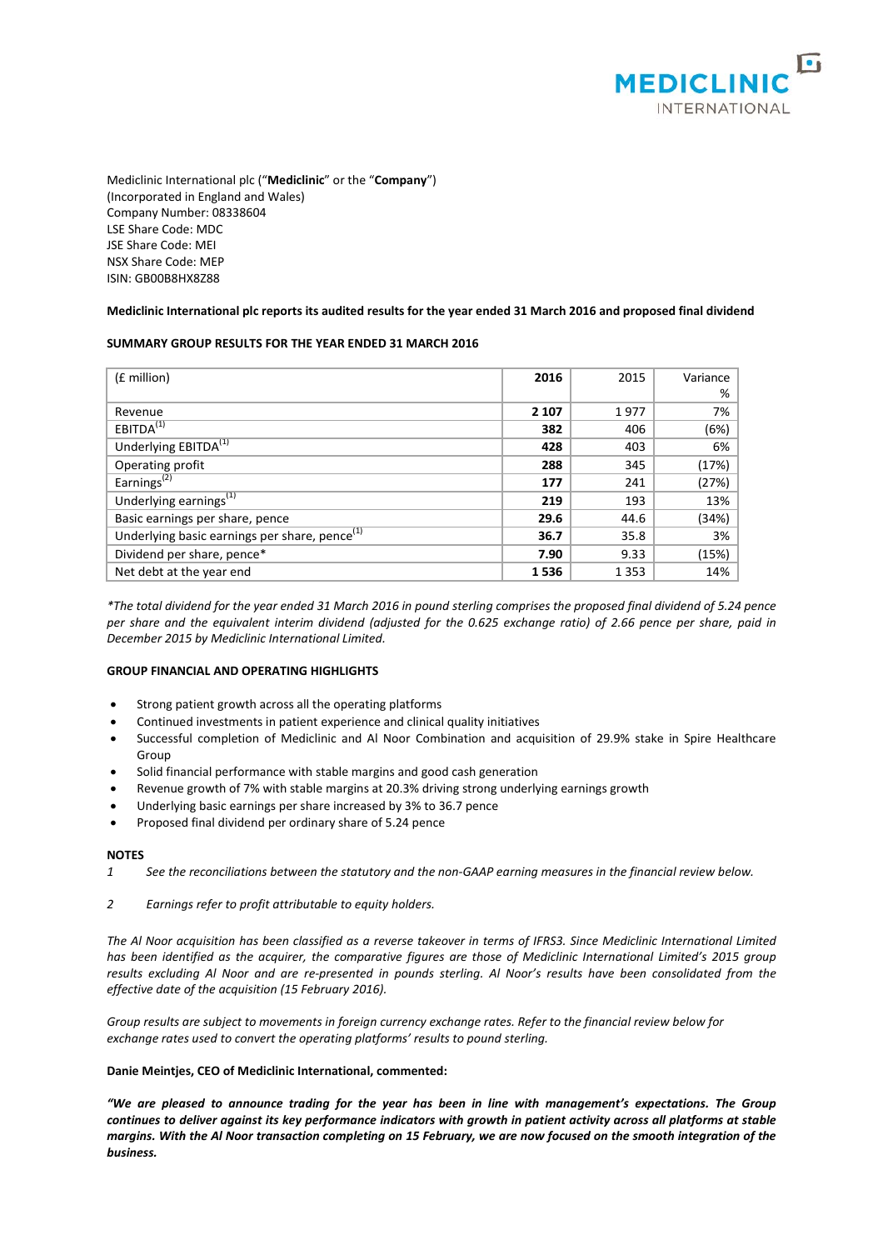

Mediclinic International plc ("**Mediclinic**" or the "**Company**") (Incorporated in England and Wales) Company Number: 08338604 LSE Share Code: MDC JSE Share Code: MEI NSX Share Code: MEP ISIN: GB00B8HX8Z88

### **Mediclinic International plc reports its audited results for the year ended 31 March 2016 and proposed final dividend**

### **SUMMARY GROUP RESULTS FOR THE YEAR ENDED 31 MARCH 2016**

| (£ million)                                               | 2016    | 2015    | Variance |
|-----------------------------------------------------------|---------|---------|----------|
|                                                           |         |         | %        |
| Revenue                                                   | 2 1 0 7 | 1977    | 7%       |
| EBITDA <sup>(1)</sup>                                     | 382     | 406     | (6%)     |
| Underlying EBITDA <sup>(1)</sup>                          | 428     | 403     | 6%       |
| Operating profit                                          | 288     | 345     | (17%)    |
| Earnings <sup>(2)</sup>                                   | 177     | 241     | (27%)    |
| Underlying earnings <sup>(1)</sup>                        | 219     | 193     | 13%      |
| Basic earnings per share, pence                           | 29.6    | 44.6    | (34%)    |
| Underlying basic earnings per share, pence <sup>(1)</sup> | 36.7    | 35.8    | 3%       |
| Dividend per share, pence*                                | 7.90    | 9.33    | (15%)    |
| Net debt at the year end                                  | 1536    | 1 3 5 3 | 14%      |

*\*The total dividend for the year ended 31 March 2016 in pound sterling comprises the proposed final dividend of 5.24 pence per share and the equivalent interim dividend (adjusted for the 0.625 exchange ratio) of 2.66 pence per share, paid in December 2015 by Mediclinic International Limited.*

### **GROUP FINANCIAL AND OPERATING HIGHLIGHTS**

- Strong patient growth across all the operating platforms
- Continued investments in patient experience and clinical quality initiatives
- Successful completion of Mediclinic and Al Noor Combination and acquisition of 29.9% stake in Spire Healthcare Group
- Solid financial performance with stable margins and good cash generation
- Revenue growth of 7% with stable margins at 20.3% driving strong underlying earnings growth
- Underlying basic earnings per share increased by 3% to 36.7 pence
- Proposed final dividend per ordinary share of 5.24 pence

### **NOTES**

- *1 See the reconciliations between the statutory and the non-GAAP earning measures in the financial review below.*
- *2 Earnings refer to profit attributable to equity holders.*

*The Al Noor acquisition has been classified as a reverse takeover in terms of IFRS3. Since Mediclinic International Limited has been identified as the acquirer, the comparative figures are those of Mediclinic International Limited's 2015 group results excluding Al Noor and are re-presented in pounds sterling. Al Noor's results have been consolidated from the effective date of the acquisition (15 February 2016).*

*Group results are subject to movements in foreign currency exchange rates. Refer to the financial review below for exchange rates used to convert the operating platforms' results to pound sterling.*

### **Danie Meintjes, CEO of Mediclinic International, commented:**

*"We are pleased to announce trading for the year has been in line with management's expectations. The Group continues to deliver against its key performance indicators with growth in patient activity across all platforms at stable margins. With the Al Noor transaction completing on 15 February, we are now focused on the smooth integration of the business.*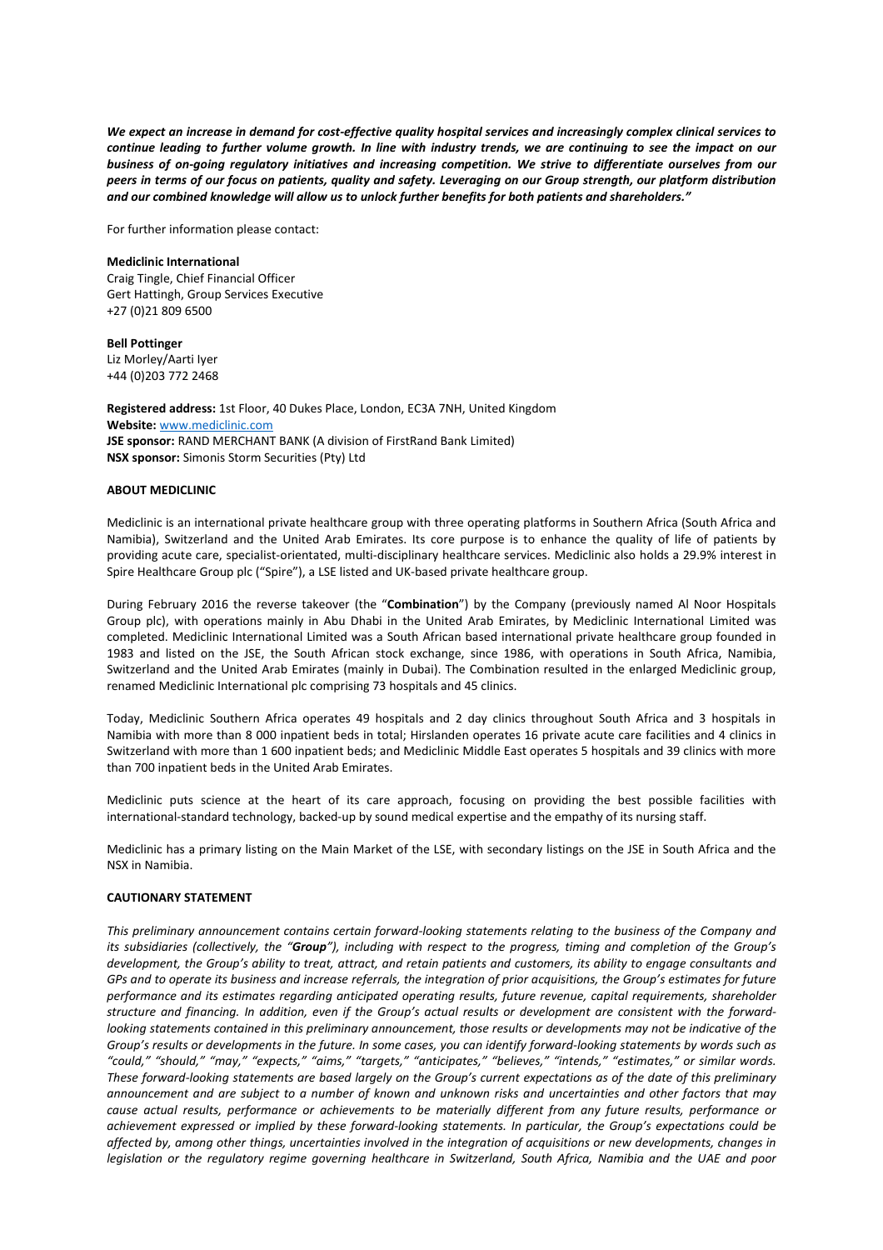*We expect an increase in demand for cost-effective quality hospital services and increasingly complex clinical services to continue leading to further volume growth. In line with industry trends, we are continuing to see the impact on our business of on-going regulatory initiatives and increasing competition. We strive to differentiate ourselves from our peers in terms of our focus on patients, quality and safety. Leveraging on our Group strength, our platform distribution and our combined knowledge will allow us to unlock further benefits for both patients and shareholders."*

For further information please contact:

**Mediclinic International** Craig Tingle, Chief Financial Officer Gert Hattingh, Group Services Executive +27 (0)21 809 6500

**Bell Pottinger** Liz Morley/Aarti Iyer +44 (0)203 772 2468

**Registered address:** 1st Floor, 40 Dukes Place, London, EC3A 7NH, United Kingdom **Website:** [www.mediclinic.com](http://www.mediclinic.com/) **JSE sponsor:** RAND MERCHANT BANK (A division of FirstRand Bank Limited) **NSX sponsor:** Simonis Storm Securities (Pty) Ltd

### **ABOUT MEDICLINIC**

Mediclinic is an international private healthcare group with three operating platforms in Southern Africa (South Africa and Namibia), Switzerland and the United Arab Emirates. Its core purpose is to enhance the quality of life of patients by providing acute care, specialist-orientated, multi-disciplinary healthcare services. Mediclinic also holds a 29.9% interest in Spire Healthcare Group plc ("Spire"), a LSE listed and UK-based private healthcare group.

During February 2016 the reverse takeover (the "**Combination**") by the Company (previously named Al Noor Hospitals Group plc), with operations mainly in Abu Dhabi in the United Arab Emirates, by Mediclinic International Limited was completed. Mediclinic International Limited was a South African based international private healthcare group founded in 1983 and listed on the JSE, the South African stock exchange, since 1986, with operations in South Africa, Namibia, Switzerland and the United Arab Emirates (mainly in Dubai). The Combination resulted in the enlarged Mediclinic group, renamed Mediclinic International plc comprising 73 hospitals and 45 clinics.

Today, Mediclinic Southern Africa operates 49 hospitals and 2 day clinics throughout South Africa and 3 hospitals in Namibia with more than 8 000 inpatient beds in total; Hirslanden operates 16 private acute care facilities and 4 clinics in Switzerland with more than 1 600 inpatient beds; and Mediclinic Middle East operates 5 hospitals and 39 clinics with more than 700 inpatient beds in the United Arab Emirates.

Mediclinic puts science at the heart of its care approach, focusing on providing the best possible facilities with international-standard technology, backed-up by sound medical expertise and the empathy of its nursing staff.

Mediclinic has a primary listing on the Main Market of the LSE, with secondary listings on the JSE in South Africa and the NSX in Namibia.

### **CAUTIONARY STATEMENT**

*This preliminary announcement contains certain forward-looking statements relating to the business of the Company and its subsidiaries (collectively, the "Group"), including with respect to the progress, timing and completion of the Group's development, the Group's ability to treat, attract, and retain patients and customers, its ability to engage consultants and GPs and to operate its business and increase referrals, the integration of prior acquisitions, the Group's estimates for future performance and its estimates regarding anticipated operating results, future revenue, capital requirements, shareholder structure and financing. In addition, even if the Group's actual results or development are consistent with the forwardlooking statements contained in this preliminary announcement, those results or developments may not be indicative of the Group's results or developments in the future. In some cases, you can identify forward-looking statements by words such as "could," "should," "may," "expects," "aims," "targets," "anticipates," "believes," "intends," "estimates," or similar words. These forward-looking statements are based largely on the Group's current expectations as of the date of this preliminary announcement and are subject to a number of known and unknown risks and uncertainties and other factors that may cause actual results, performance or achievements to be materially different from any future results, performance or achievement expressed or implied by these forward-looking statements. In particular, the Group's expectations could be affected by, among other things, uncertainties involved in the integration of acquisitions or new developments, changes in legislation or the regulatory regime governing healthcare in Switzerland, South Africa, Namibia and the UAE and poor*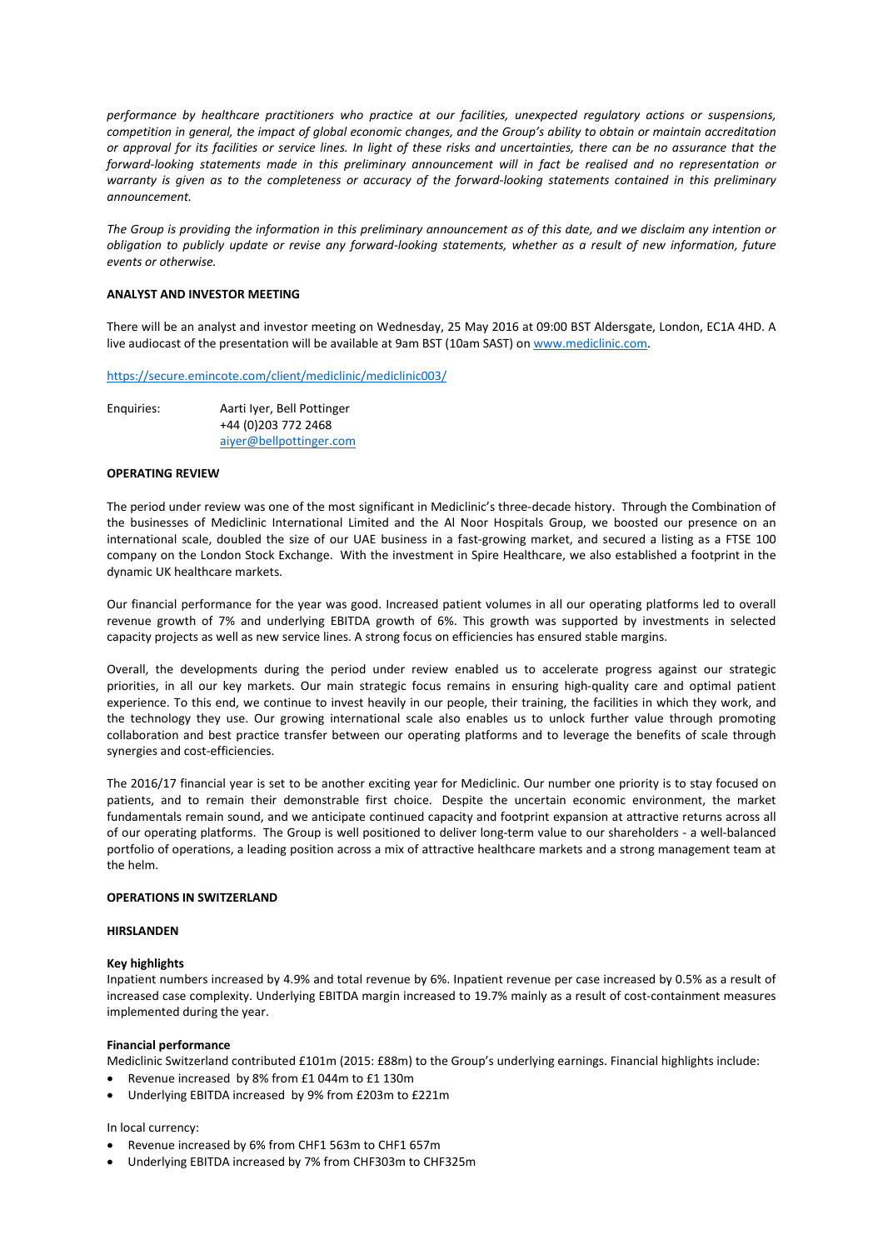*performance by healthcare practitioners who practice at our facilities, unexpected regulatory actions or suspensions, competition in general, the impact of global economic changes, and the Group's ability to obtain or maintain accreditation or approval for its facilities or service lines. In light of these risks and uncertainties, there can be no assurance that the forward-looking statements made in this preliminary announcement will in fact be realised and no representation or warranty is given as to the completeness or accuracy of the forward-looking statements contained in this preliminary announcement.*

*The Group is providing the information in this preliminary announcement as of this date, and we disclaim any intention or obligation to publicly update or revise any forward-looking statements, whether as a result of new information, future events or otherwise.*

### **ANALYST AND INVESTOR MEETING**

There will be an analyst and investor meeting on Wednesday, 25 May 2016 at 09:00 BST Aldersgate, London, EC1A 4HD. A live audiocast of the presentation will be available at 9am BST (10am SAST) o[n www.mediclinic.com.](http://www.mediclinic.com/)

<https://secure.emincote.com/client/mediclinic/mediclinic003/>

| Enguiries: | Aarti Iyer, Bell Pottinger |
|------------|----------------------------|
|            | +44 (0) 203 772 2468       |
|            | aiver@bellpottinger.com    |

### **OPERATING REVIEW**

The period under review was one of the most significant in Mediclinic's three-decade history. Through the Combination of the businesses of Mediclinic International Limited and the Al Noor Hospitals Group, we boosted our presence on an international scale, doubled the size of our UAE business in a fast-growing market, and secured a listing as a FTSE 100 company on the London Stock Exchange. With the investment in Spire Healthcare, we also established a footprint in the dynamic UK healthcare markets.

Our financial performance for the year was good. Increased patient volumes in all our operating platforms led to overall revenue growth of 7% and underlying EBITDA growth of 6%. This growth was supported by investments in selected capacity projects as well as new service lines. A strong focus on efficiencies has ensured stable margins.

Overall, the developments during the period under review enabled us to accelerate progress against our strategic priorities, in all our key markets. Our main strategic focus remains in ensuring high-quality care and optimal patient experience. To this end, we continue to invest heavily in our people, their training, the facilities in which they work, and the technology they use. Our growing international scale also enables us to unlock further value through promoting collaboration and best practice transfer between our operating platforms and to leverage the benefits of scale through synergies and cost-efficiencies.

The 2016/17 financial year is set to be another exciting year for Mediclinic. Our number one priority is to stay focused on patients, and to remain their demonstrable first choice. Despite the uncertain economic environment, the market fundamentals remain sound, and we anticipate continued capacity and footprint expansion at attractive returns across all of our operating platforms. The Group is well positioned to deliver long-term value to our shareholders - a well-balanced portfolio of operations, a leading position across a mix of attractive healthcare markets and a strong management team at the helm.

### **OPERATIONS IN SWITZERLAND**

### **HIRSLANDEN**

### **Key highlights**

Inpatient numbers increased by 4.9% and total revenue by 6%. Inpatient revenue per case increased by 0.5% as a result of increased case complexity. Underlying EBITDA margin increased to 19.7% mainly as a result of cost-containment measures implemented during the year.

### **Financial performance**

Mediclinic Switzerland contributed £101m (2015: £88m) to the Group's underlying earnings. Financial highlights include:

- Revenue increased by 8% from £1 044m to £1 130m
- Underlying EBITDA increased by 9% from £203m to £221m

### In local currency:

- Revenue increased by 6% from CHF1 563m to CHF1 657m
- Underlying EBITDA increased by 7% from CHF303m to CHF325m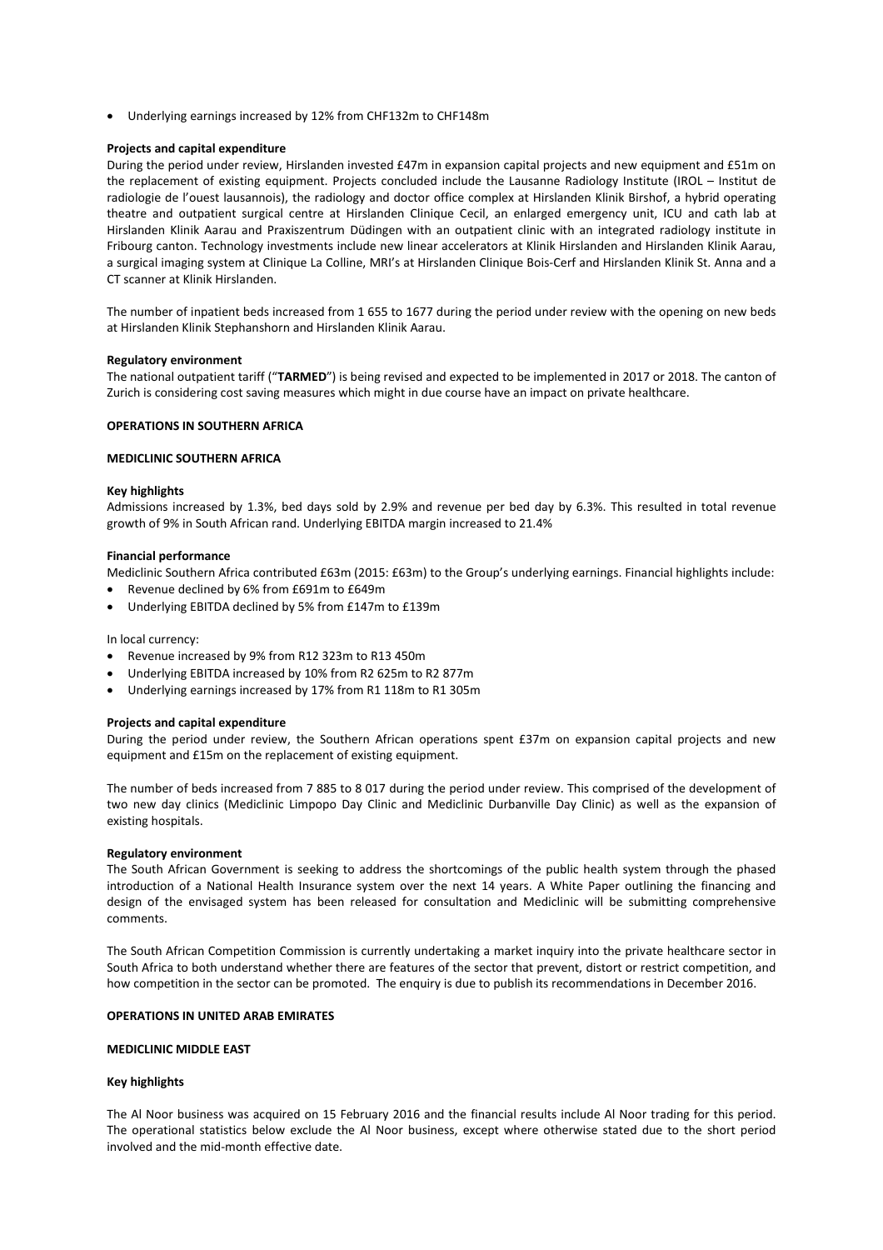• Underlying earnings increased by 12% from CHF132m to CHF148m

### **Projects and capital expenditure**

During the period under review, Hirslanden invested £47m in expansion capital projects and new equipment and £51m on the replacement of existing equipment. Projects concluded include the Lausanne Radiology Institute (IROL – Institut de radiologie de l'ouest lausannois), the radiology and doctor office complex at Hirslanden Klinik Birshof, a hybrid operating theatre and outpatient surgical centre at Hirslanden Clinique Cecil, an enlarged emergency unit, ICU and cath lab at Hirslanden Klinik Aarau and Praxiszentrum Düdingen with an outpatient clinic with an integrated radiology institute in Fribourg canton. Technology investments include new linear accelerators at Klinik Hirslanden and Hirslanden Klinik Aarau, a surgical imaging system at Clinique La Colline, MRI's at Hirslanden Clinique Bois-Cerf and Hirslanden Klinik St. Anna and a CT scanner at Klinik Hirslanden.

The number of inpatient beds increased from 1 655 to 1677 during the period under review with the opening on new beds at Hirslanden Klinik Stephanshorn and Hirslanden Klinik Aarau.

### **Regulatory environment**

The national outpatient tariff ("**TARMED**") is being revised and expected to be implemented in 2017 or 2018. The canton of Zurich is considering cost saving measures which might in due course have an impact on private healthcare.

### **OPERATIONS IN SOUTHERN AFRICA**

### **MEDICLINIC SOUTHERN AFRICA**

### **Key highlights**

Admissions increased by 1.3%, bed days sold by 2.9% and revenue per bed day by 6.3%. This resulted in total revenue growth of 9% in South African rand. Underlying EBITDA margin increased to 21.4%

### **Financial performance**

Mediclinic Southern Africa contributed £63m (2015: £63m) to the Group's underlying earnings. Financial highlights include:

- Revenue declined by 6% from £691m to £649m
- Underlying EBITDA declined by 5% from £147m to £139m

In local currency:

- Revenue increased by 9% from R12 323m to R13 450m
- Underlying EBITDA increased by 10% from R2 625m to R2 877m
- Underlying earnings increased by 17% from R1 118m to R1 305m

### **Projects and capital expenditure**

During the period under review, the Southern African operations spent £37m on expansion capital projects and new equipment and £15m on the replacement of existing equipment.

The number of beds increased from 7 885 to 8 017 during the period under review. This comprised of the development of two new day clinics (Mediclinic Limpopo Day Clinic and Mediclinic Durbanville Day Clinic) as well as the expansion of existing hospitals.

### **Regulatory environment**

The South African Government is seeking to address the shortcomings of the public health system through the phased introduction of a National Health Insurance system over the next 14 years. A White Paper outlining the financing and design of the envisaged system has been released for consultation and Mediclinic will be submitting comprehensive comments.

The South African Competition Commission is currently undertaking a market inquiry into the private healthcare sector in South Africa to both understand whether there are features of the sector that prevent, distort or restrict competition, and how competition in the sector can be promoted. The enquiry is due to publish its recommendations in December 2016.

### **OPERATIONS IN UNITED ARAB EMIRATES**

### **MEDICLINIC MIDDLE EAST**

### **Key highlights**

The Al Noor business was acquired on 15 February 2016 and the financial results include Al Noor trading for this period. The operational statistics below exclude the Al Noor business, except where otherwise stated due to the short period involved and the mid-month effective date.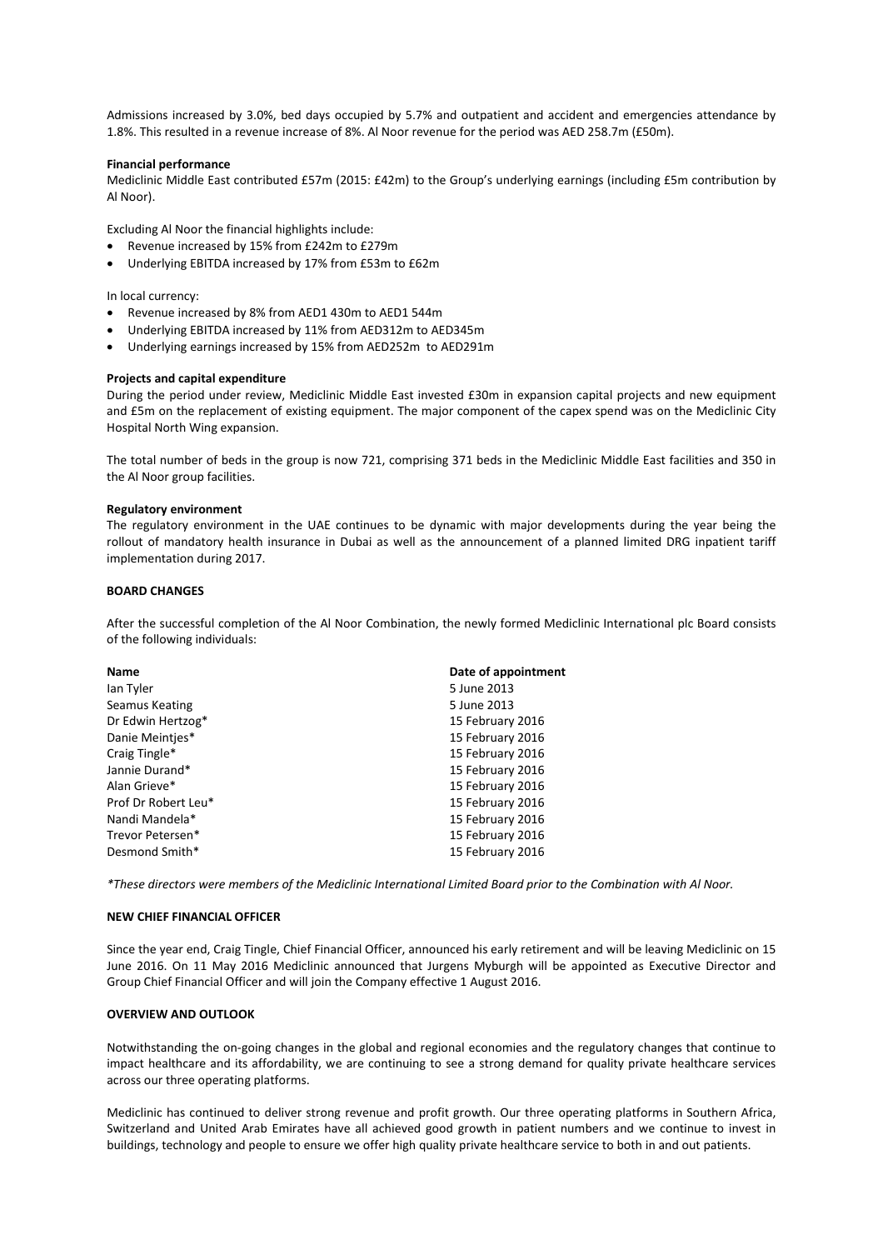Admissions increased by 3.0%, bed days occupied by 5.7% and outpatient and accident and emergencies attendance by 1.8%. This resulted in a revenue increase of 8%. Al Noor revenue for the period was AED 258.7m (£50m).

### **Financial performance**

Mediclinic Middle East contributed £57m (2015: £42m) to the Group's underlying earnings (including £5m contribution by Al Noor).

Excluding Al Noor the financial highlights include:

- Revenue increased by 15% from £242m to £279m
- Underlying EBITDA increased by 17% from £53m to £62m

In local currency:

- Revenue increased by 8% from AED1 430m to AED1 544m
- Underlying EBITDA increased by 11% from AED312m to AED345m
- Underlying earnings increased by 15% from AED252m to AED291m

#### **Projects and capital expenditure**

During the period under review, Mediclinic Middle East invested £30m in expansion capital projects and new equipment and £5m on the replacement of existing equipment. The major component of the capex spend was on the Mediclinic City Hospital North Wing expansion.

The total number of beds in the group is now 721, comprising 371 beds in the Mediclinic Middle East facilities and 350 in the Al Noor group facilities.

#### **Regulatory environment**

The regulatory environment in the UAE continues to be dynamic with major developments during the year being the rollout of mandatory health insurance in Dubai as well as the announcement of a planned limited DRG inpatient tariff implementation during 2017.

### **BOARD CHANGES**

After the successful completion of the Al Noor Combination, the newly formed Mediclinic International plc Board consists of the following individuals:

| <b>Name</b>         | Date of appointment |
|---------------------|---------------------|
| lan Tyler           | 5 June 2013         |
| Seamus Keating      | 5 June 2013         |
| Dr Edwin Hertzog*   | 15 February 2016    |
| Danie Meinties*     | 15 February 2016    |
| Craig Tingle*       | 15 February 2016    |
| Jannie Durand*      | 15 February 2016    |
| Alan Grieve*        | 15 February 2016    |
| Prof Dr Robert Leu* | 15 February 2016    |
| Nandi Mandela*      | 15 February 2016    |
| Trevor Petersen*    | 15 February 2016    |
| Desmond Smith*      | 15 February 2016    |

*\*These directors were members of the Mediclinic International Limited Board prior to the Combination with Al Noor.*

### **NEW CHIEF FINANCIAL OFFICER**

Since the year end, Craig Tingle, Chief Financial Officer, announced his early retirement and will be leaving Mediclinic on 15 June 2016. On 11 May 2016 Mediclinic announced that Jurgens Myburgh will be appointed as Executive Director and Group Chief Financial Officer and will join the Company effective 1 August 2016.

### **OVERVIEW AND OUTLOOK**

Notwithstanding the on-going changes in the global and regional economies and the regulatory changes that continue to impact healthcare and its affordability, we are continuing to see a strong demand for quality private healthcare services across our three operating platforms.

Mediclinic has continued to deliver strong revenue and profit growth. Our three operating platforms in Southern Africa, Switzerland and United Arab Emirates have all achieved good growth in patient numbers and we continue to invest in buildings, technology and people to ensure we offer high quality private healthcare service to both in and out patients.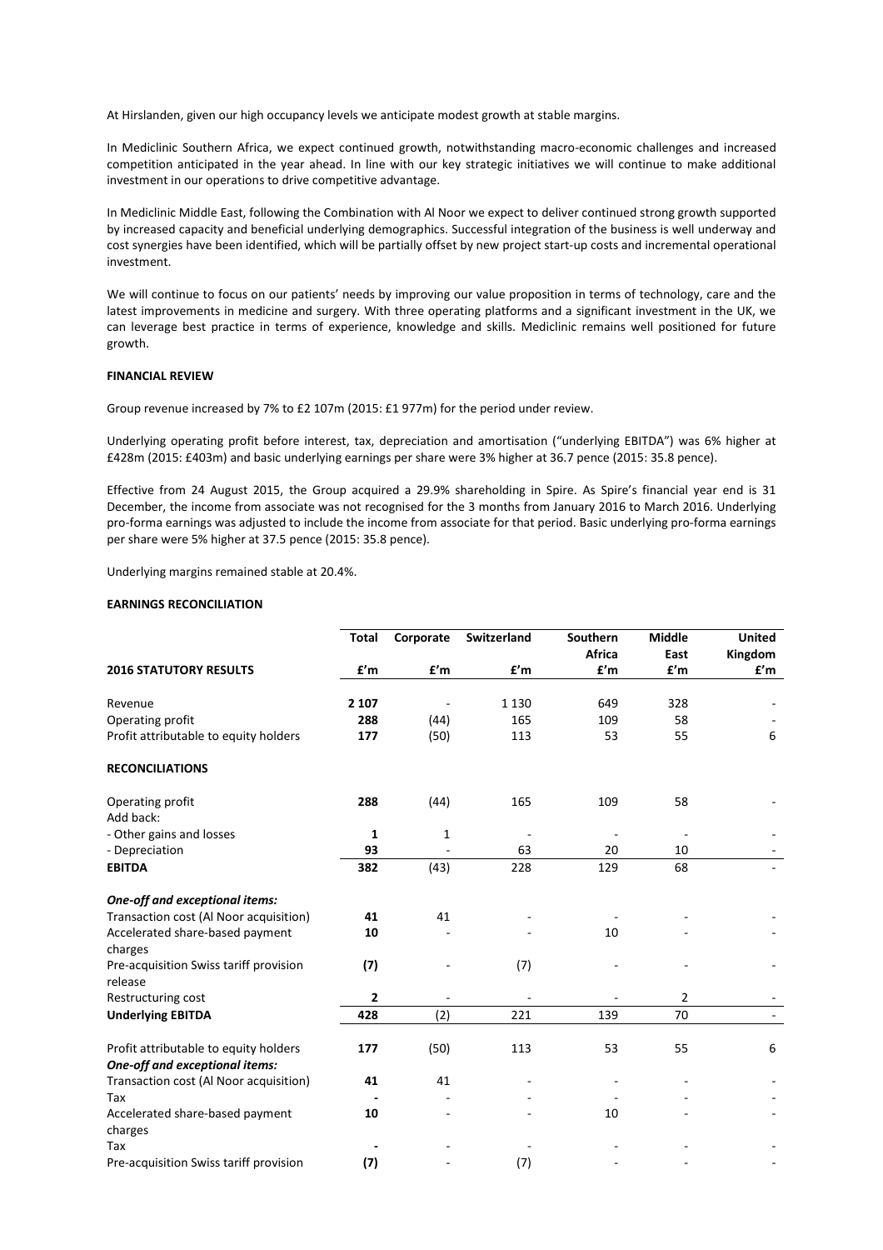At Hirslanden, given our high occupancy levels we anticipate modest growth at stable margins.

In Mediclinic Southern Africa, we expect continued growth, notwithstanding macro-economic challenges and increased competition anticipated in the year ahead. In line with our key strategic initiatives we will continue to make additional investment in our operations to drive competitive advantage.

In Mediclinic Middle East, following the Combination with Al Noor we expect to deliver continued strong growth supported by increased capacity and beneficial underlying demographics. Successful integration of the business is well underway and cost synergies have been identified, which will be partially offset by new project start-up costs and incremental operational investment.

We will continue to focus on our patients' needs by improving our value proposition in terms of technology, care and the latest improvements in medicine and surgery. With three operating platforms and a significant investment in the UK, we can leverage best practice in terms of experience, knowledge and skills. Mediclinic remains well positioned for future growth.

### **FINANCIAL REVIEW**

Group revenue increased by 7% to £2 107m (2015: £1 977m) for the period under review.

Underlying operating profit before interest, tax, depreciation and amortisation ("underlying EBITDA") was 6% higher at £428m (2015: £403m) and basic underlying earnings per share were 3% higher at 36.7 pence (2015: 35.8 pence).

Effective from 24 August 2015, the Group acquired a 29.9% shareholding in Spire. As Spire's financial year end is 31 December, the income from associate was not recognised for the 3 months from January 2016 to March 2016. Underlying pro-forma earnings was adjusted to include the income from associate for that period. Basic underlying pro-forma earnings per share were 5% higher at 37.5 pence (2015: 35.8 pence).

Underlying margins remained stable at 20.4%.

### **EARNINGS RECONCILIATION**

|                                                                         | <b>Total</b> | Corporate | Switzerland | Southern | <b>Middle</b> | <b>United</b> |
|-------------------------------------------------------------------------|--------------|-----------|-------------|----------|---------------|---------------|
|                                                                         |              |           |             | Africa   | East          | Kingdom       |
| <b>2016 STATUTORY RESULTS</b>                                           | £'m          | f'm       | £'m         | f'm      | f'm           | f'm           |
| Revenue                                                                 | 2 1 0 7      |           | 1 1 3 0     | 649      | 328           |               |
| Operating profit                                                        | 288          | (44)      | 165         | 109      | 58            |               |
| Profit attributable to equity holders                                   | 177          | (50)      | 113         | 53       | 55            | 6             |
| <b>RECONCILIATIONS</b>                                                  |              |           |             |          |               |               |
| Operating profit<br>Add back:                                           | 288          | (44)      | 165         | 109      | 58            |               |
| - Other gains and losses                                                | 1            | 1         |             |          |               |               |
| - Depreciation                                                          | 93           |           | 63          | 20       | 10            |               |
| <b>EBITDA</b>                                                           | 382          | (43)      | 228         | 129      | 68            |               |
| One-off and exceptional items:                                          |              |           |             |          |               |               |
| Transaction cost (Al Noor acquisition)                                  | 41           | 41        |             |          |               |               |
| Accelerated share-based payment<br>charges                              | 10           |           |             | 10       |               |               |
| Pre-acquisition Swiss tariff provision<br>release                       | (7)          |           | (7)         |          |               |               |
| Restructuring cost                                                      | 2            |           |             |          | 2             |               |
| <b>Underlying EBITDA</b>                                                | 428          | (2)       | 221         | 139      | 70            | $\sim$        |
| Profit attributable to equity holders<br>One-off and exceptional items: | 177          | (50)      | 113         | 53       | 55            | 6             |
| Transaction cost (Al Noor acquisition)                                  | 41           | 41        |             |          |               |               |
| Tax                                                                     |              |           |             |          |               |               |
| Accelerated share-based payment<br>charges                              | 10           |           |             | 10       |               |               |
| Tax                                                                     |              |           |             |          |               |               |
| Pre-acquisition Swiss tariff provision                                  | (7)          |           | (7)         |          |               |               |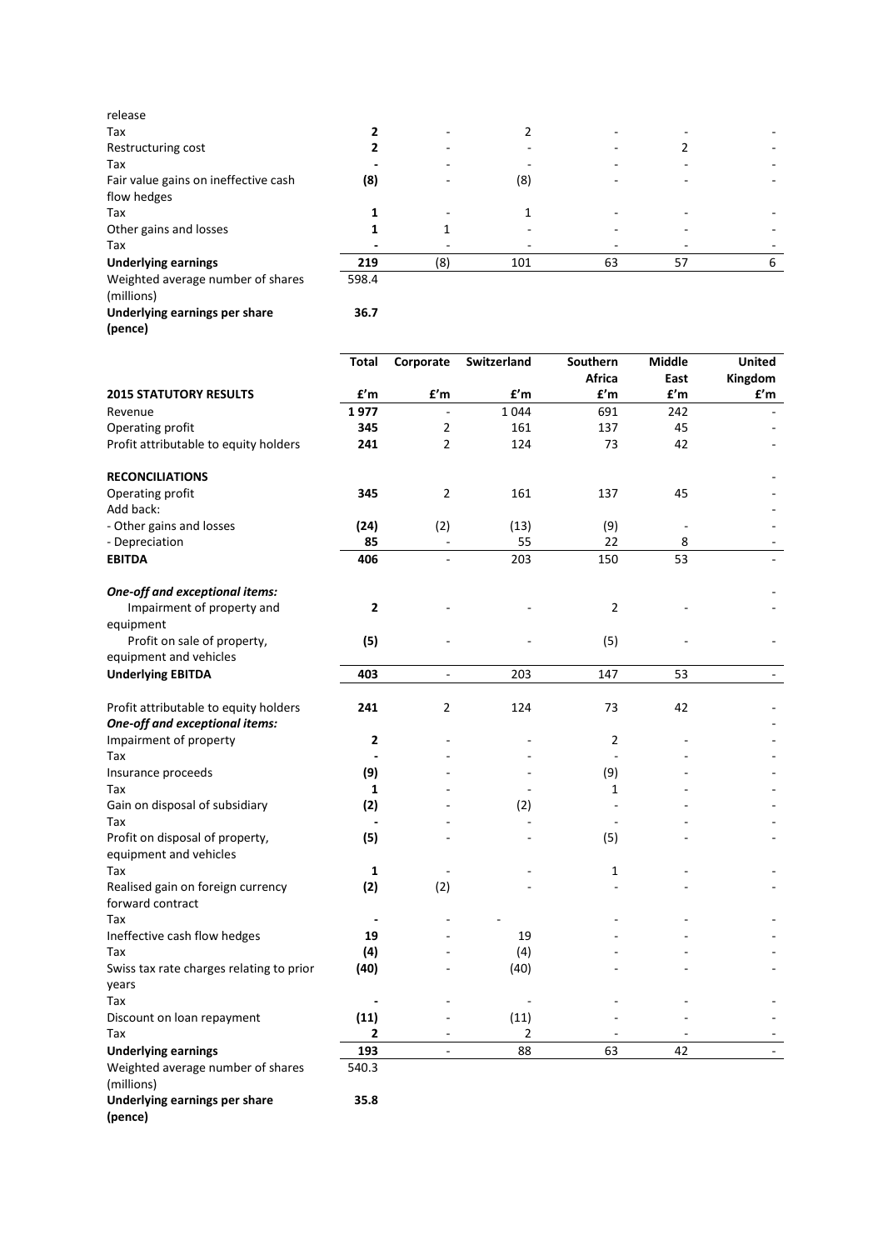| release                              |       |     |     |    |    |   |
|--------------------------------------|-------|-----|-----|----|----|---|
| Tax                                  |       |     |     |    |    |   |
| Restructuring cost                   |       |     |     | -  |    |   |
| Tax                                  |       |     |     |    |    |   |
| Fair value gains on ineffective cash | (8)   |     | (8) |    |    |   |
| flow hedges                          |       |     |     |    |    |   |
| Tax                                  |       |     |     |    |    |   |
| Other gains and losses               |       |     |     |    |    |   |
| Tax                                  |       |     |     |    |    |   |
| <b>Underlying earnings</b>           | 219   | (8) | 101 | 63 | 57 | h |
| Weighted average number of shares    | 598.4 |     |     |    |    |   |
|                                      |       |     |     |    |    |   |

**36.7**

# (millions) **Underlying earnings per share**

|--|

|                                                           | Total        | Corporate                | Switzerland | Southern       | Middle | <b>United</b>            |
|-----------------------------------------------------------|--------------|--------------------------|-------------|----------------|--------|--------------------------|
|                                                           |              |                          |             | Africa         | East   | Kingdom                  |
| <b>2015 STATUTORY RESULTS</b>                             | £'m          | £'m                      | f'm         | £'m            | £'m    | £'m                      |
| Revenue                                                   | 1977         |                          | 1044        | 691            | 242    |                          |
| Operating profit                                          | 345          | 2                        | 161         | 137            | 45     |                          |
| Profit attributable to equity holders                     | 241          | $\overline{2}$           | 124         | 73             | 42     |                          |
| <b>RECONCILIATIONS</b>                                    |              |                          |             |                |        |                          |
| Operating profit<br>Add back:                             | 345          | $\overline{2}$           | 161         | 137            | 45     |                          |
| - Other gains and losses                                  | (24)         | (2)                      | (13)        | (9)            |        |                          |
| - Depreciation                                            | 85           |                          | 55          | 22             | 8      |                          |
| <b>EBITDA</b>                                             | 406          |                          | 203         | 150            | 53     |                          |
| <b>One-off and exceptional items:</b>                     |              |                          |             |                |        |                          |
| Impairment of property and                                | $\mathbf{2}$ |                          |             | $\overline{2}$ |        |                          |
| equipment                                                 |              |                          |             |                |        |                          |
| Profit on sale of property,                               | (5)          |                          |             | (5)            |        |                          |
| equipment and vehicles                                    |              |                          |             |                |        |                          |
| <b>Underlying EBITDA</b>                                  | 403          | $\overline{\phantom{a}}$ | 203         | 147            | 53     | $\overline{\phantom{a}}$ |
| Profit attributable to equity holders                     | 241          | 2                        | 124         | 73             | 42     |                          |
| One-off and exceptional items:                            |              |                          |             |                |        |                          |
| Impairment of property                                    | 2            |                          |             | 2              |        |                          |
| Tax                                                       |              |                          |             |                |        |                          |
| Insurance proceeds                                        | (9)          |                          |             | (9)            |        |                          |
| Tax                                                       | 1            |                          |             | 1              |        |                          |
| Gain on disposal of subsidiary                            | (2)          |                          | (2)         |                |        |                          |
| Tax                                                       |              |                          |             |                |        |                          |
| Profit on disposal of property,<br>equipment and vehicles | (5)          |                          |             | (5)            |        |                          |
| Tax                                                       | 1            |                          |             | 1              |        |                          |
| Realised gain on foreign currency                         | (2)          | (2)                      |             |                |        |                          |
| forward contract                                          |              |                          |             |                |        |                          |
| Tax                                                       |              |                          |             |                |        |                          |
| Ineffective cash flow hedges                              | 19           |                          | 19          |                |        |                          |
| Tax                                                       | (4)          |                          | (4)         |                |        |                          |
| Swiss tax rate charges relating to prior                  | (40)         |                          | (40)        |                |        |                          |
| years                                                     |              |                          |             |                |        |                          |
| Tax                                                       |              |                          |             |                |        |                          |
| Discount on loan repayment                                | (11)         |                          | (11)        |                |        |                          |
| Tax                                                       | 2            |                          | 2           |                |        |                          |
| <b>Underlying earnings</b>                                | 193          | $\overline{\phantom{a}}$ | 88          | 63             | 42     | $\sim$                   |
| Weighted average number of shares                         | 540.3        |                          |             |                |        |                          |

### Weighted average number of shares (millions)

**Underlying earnings per share (pence)**

**35.8**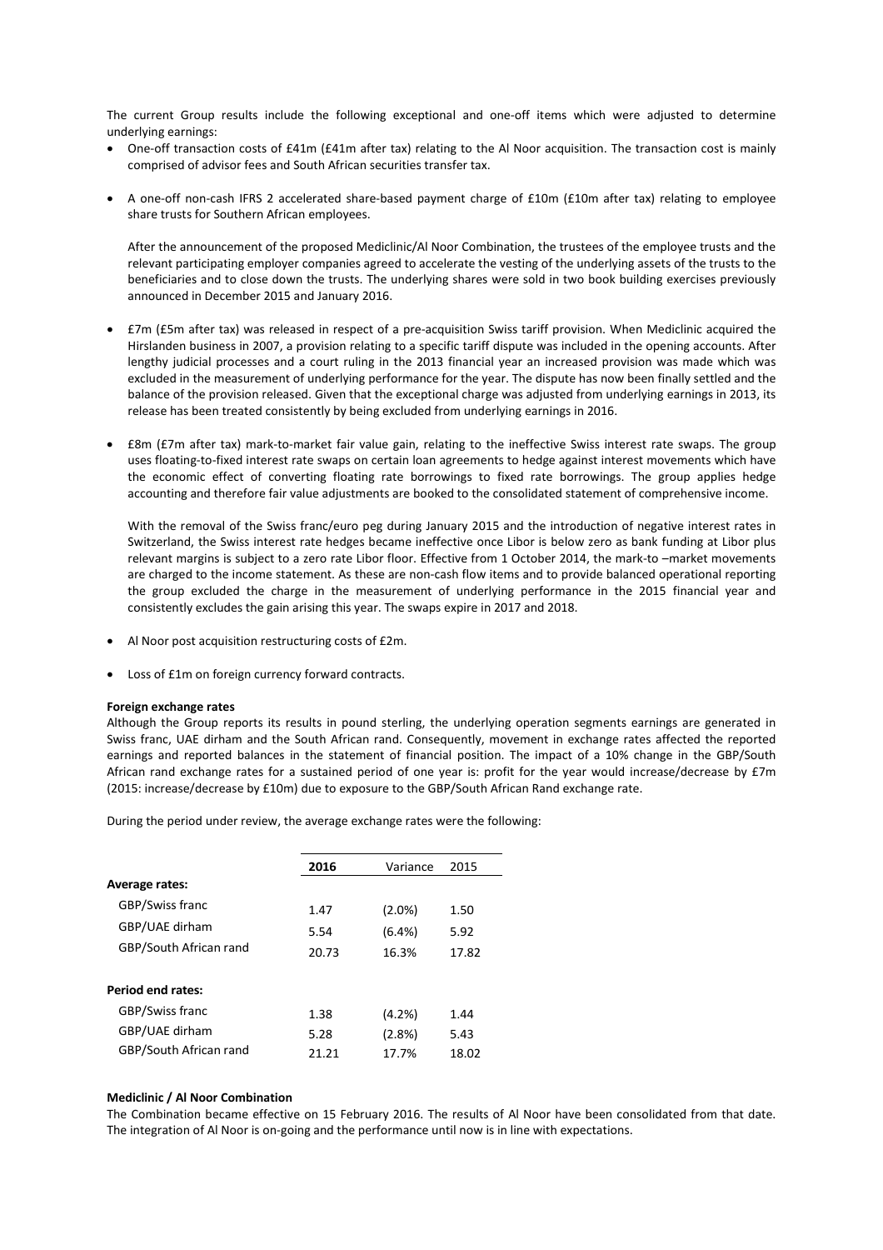The current Group results include the following exceptional and one-off items which were adjusted to determine underlying earnings:

- One-off transaction costs of £41m (£41m after tax) relating to the Al Noor acquisition. The transaction cost is mainly comprised of advisor fees and South African securities transfer tax.
- A one-off non-cash IFRS 2 accelerated share-based payment charge of £10m (£10m after tax) relating to employee share trusts for Southern African employees.

After the announcement of the proposed Mediclinic/Al Noor Combination, the trustees of the employee trusts and the relevant participating employer companies agreed to accelerate the vesting of the underlying assets of the trusts to the beneficiaries and to close down the trusts. The underlying shares were sold in two book building exercises previously announced in December 2015 and January 2016.

- £7m (£5m after tax) was released in respect of a pre-acquisition Swiss tariff provision. When Mediclinic acquired the Hirslanden business in 2007, a provision relating to a specific tariff dispute was included in the opening accounts. After lengthy judicial processes and a court ruling in the 2013 financial year an increased provision was made which was excluded in the measurement of underlying performance for the year. The dispute has now been finally settled and the balance of the provision released. Given that the exceptional charge was adjusted from underlying earnings in 2013, its release has been treated consistently by being excluded from underlying earnings in 2016.
- £8m (£7m after tax) mark-to-market fair value gain, relating to the ineffective Swiss interest rate swaps. The group uses floating-to-fixed interest rate swaps on certain loan agreements to hedge against interest movements which have the economic effect of converting floating rate borrowings to fixed rate borrowings. The group applies hedge accounting and therefore fair value adjustments are booked to the consolidated statement of comprehensive income.

With the removal of the Swiss franc/euro peg during January 2015 and the introduction of negative interest rates in Switzerland, the Swiss interest rate hedges became ineffective once Libor is below zero as bank funding at Libor plus relevant margins is subject to a zero rate Libor floor. Effective from 1 October 2014, the mark-to –market movements are charged to the income statement. As these are non-cash flow items and to provide balanced operational reporting the group excluded the charge in the measurement of underlying performance in the 2015 financial year and consistently excludes the gain arising this year. The swaps expire in 2017 and 2018.

- Al Noor post acquisition restructuring costs of £2m.
- Loss of £1m on foreign currency forward contracts.

### **Foreign exchange rates**

Although the Group reports its results in pound sterling, the underlying operation segments earnings are generated in Swiss franc, UAE dirham and the South African rand. Consequently, movement in exchange rates affected the reported earnings and reported balances in the statement of financial position. The impact of a 10% change in the GBP/South African rand exchange rates for a sustained period of one year is: profit for the year would increase/decrease by £7m (2015: increase/decrease by £10m) due to exposure to the GBP/South African Rand exchange rate.

During the period under review, the average exchange rates were the following:

|                        | 2016  | Variance | 2015  |
|------------------------|-------|----------|-------|
| <b>Average rates:</b>  |       |          |       |
| GBP/Swiss franc        | 1.47  | (2.0%)   | 1.50  |
| GBP/UAE dirham         | 5.54  | (6.4%)   | 5.92  |
| GBP/South African rand | 20.73 | 16.3%    | 17.82 |
|                        |       |          |       |
| Period end rates:      |       |          |       |
| GBP/Swiss franc        | 1.38  | (4.2%)   | 1.44  |
| GBP/UAE dirham         | 5.28  | (2.8%)   | 5.43  |
| GBP/South African rand | 21.21 | 17.7%    | 18.02 |

### **Mediclinic / Al Noor Combination**

The Combination became effective on 15 February 2016. The results of Al Noor have been consolidated from that date. The integration of Al Noor is on-going and the performance until now is in line with expectations.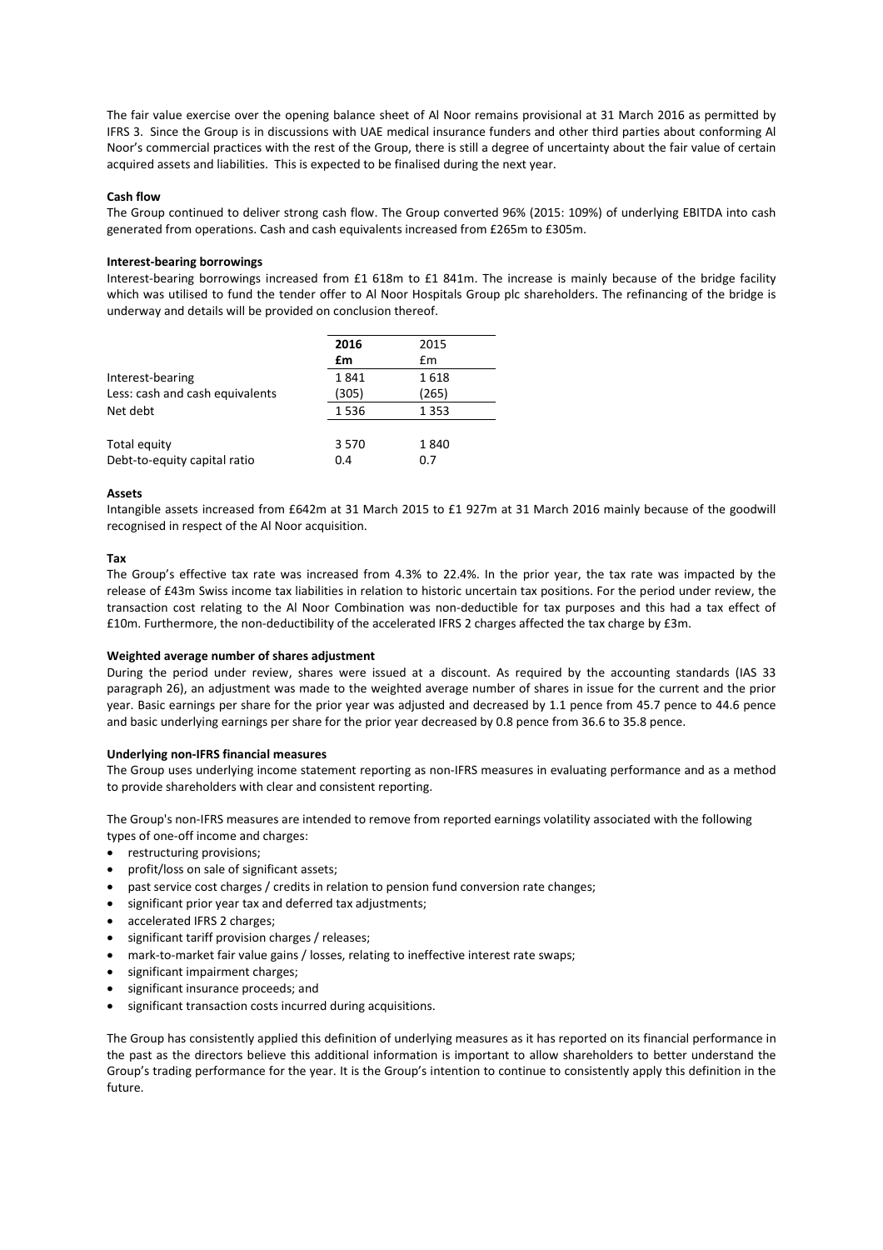The fair value exercise over the opening balance sheet of Al Noor remains provisional at 31 March 2016 as permitted by IFRS 3. Since the Group is in discussions with UAE medical insurance funders and other third parties about conforming Al Noor's commercial practices with the rest of the Group, there is still a degree of uncertainty about the fair value of certain acquired assets and liabilities. This is expected to be finalised during the next year.

### **Cash flow**

The Group continued to deliver strong cash flow. The Group converted 96% (2015: 109%) of underlying EBITDA into cash generated from operations. Cash and cash equivalents increased from £265m to £305m.

### **Interest-bearing borrowings**

Interest-bearing borrowings increased from £1 618m to £1 841m. The increase is mainly because of the bridge facility which was utilised to fund the tender offer to Al Noor Hospitals Group plc shareholders. The refinancing of the bridge is underway and details will be provided on conclusion thereof.

|                                 | 2016  | 2015    |
|---------------------------------|-------|---------|
|                                 | £m    | £m      |
| Interest-bearing                | 1841  | 1618    |
| Less: cash and cash equivalents | (305) | (265)   |
| Net debt                        | 1536  | 1 3 5 3 |
|                                 |       |         |
| Total equity                    | 3570  | 1840    |
| Debt-to-equity capital ratio    | 0.4   | 0.7     |
|                                 |       |         |

### **Assets**

Intangible assets increased from £642m at 31 March 2015 to £1 927m at 31 March 2016 mainly because of the goodwill recognised in respect of the Al Noor acquisition.

### **Tax**

The Group's effective tax rate was increased from 4.3% to 22.4%. In the prior year, the tax rate was impacted by the release of £43m Swiss income tax liabilities in relation to historic uncertain tax positions. For the period under review, the transaction cost relating to the Al Noor Combination was non-deductible for tax purposes and this had a tax effect of £10m. Furthermore, the non-deductibility of the accelerated IFRS 2 charges affected the tax charge by £3m.

### **Weighted average number of shares adjustment**

During the period under review, shares were issued at a discount. As required by the accounting standards (IAS 33 paragraph 26), an adjustment was made to the weighted average number of shares in issue for the current and the prior year. Basic earnings per share for the prior year was adjusted and decreased by 1.1 pence from 45.7 pence to 44.6 pence and basic underlying earnings per share for the prior year decreased by 0.8 pence from 36.6 to 35.8 pence.

### **Underlying non-IFRS financial measures**

The Group uses underlying income statement reporting as non-IFRS measures in evaluating performance and as a method to provide shareholders with clear and consistent reporting.

The Group's non-IFRS measures are intended to remove from reported earnings volatility associated with the following types of one-off income and charges:

- restructuring provisions;
- profit/loss on sale of significant assets;
- past service cost charges / credits in relation to pension fund conversion rate changes;
- significant prior year tax and deferred tax adjustments;
- accelerated IFRS 2 charges;
- significant tariff provision charges / releases;
- mark-to-market fair value gains / losses, relating to ineffective interest rate swaps;
- significant impairment charges;
- significant insurance proceeds; and
- significant transaction costs incurred during acquisitions.

The Group has consistently applied this definition of underlying measures as it has reported on its financial performance in the past as the directors believe this additional information is important to allow shareholders to better understand the Group's trading performance for the year. It is the Group's intention to continue to consistently apply this definition in the future.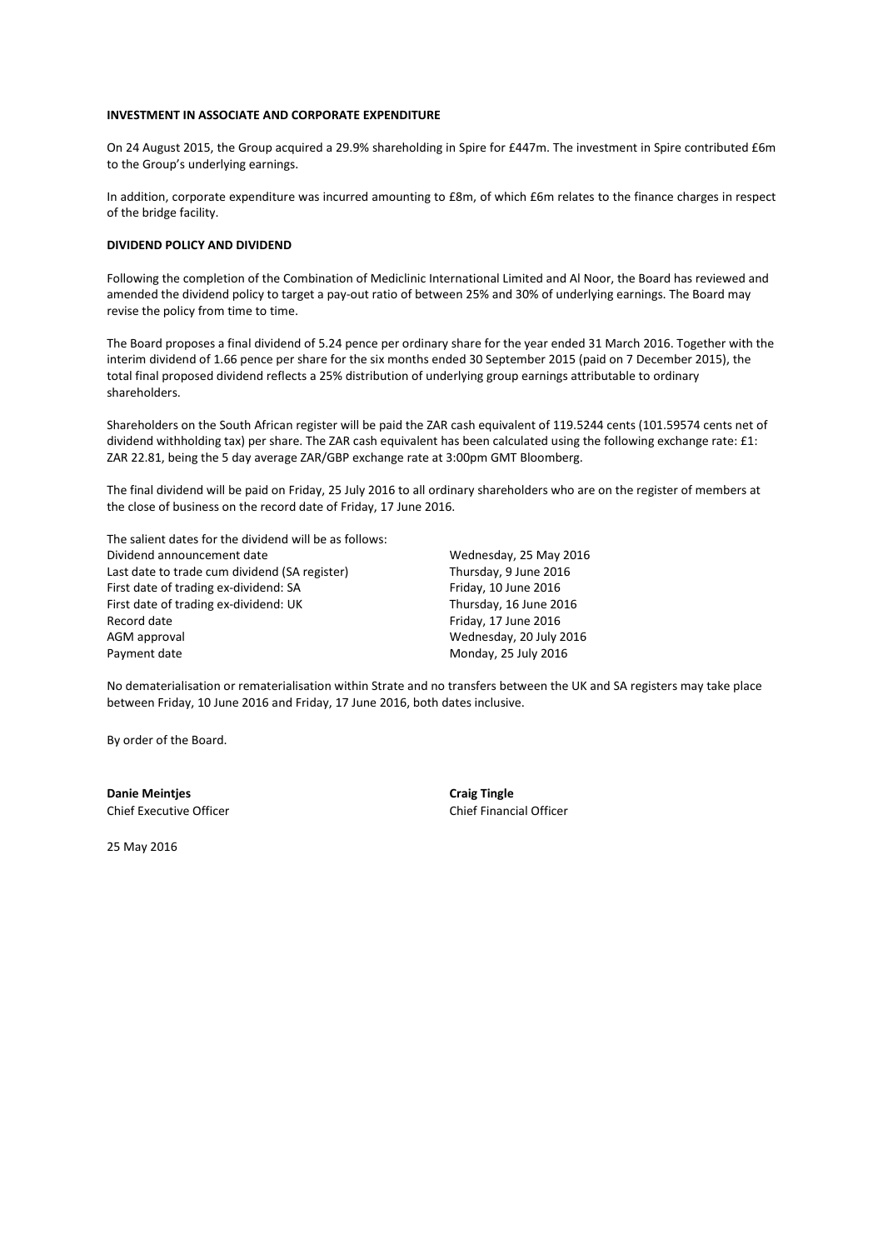### **INVESTMENT IN ASSOCIATE AND CORPORATE EXPENDITURE**

On 24 August 2015, the Group acquired a 29.9% shareholding in Spire for £447m. The investment in Spire contributed £6m to the Group's underlying earnings.

In addition, corporate expenditure was incurred amounting to £8m, of which £6m relates to the finance charges in respect of the bridge facility.

### **DIVIDEND POLICY AND DIVIDEND**

Following the completion of the Combination of Mediclinic International Limited and Al Noor, the Board has reviewed and amended the dividend policy to target a pay-out ratio of between 25% and 30% of underlying earnings. The Board may revise the policy from time to time.

The Board proposes a final dividend of 5.24 pence per ordinary share for the year ended 31 March 2016. Together with the interim dividend of 1.66 pence per share for the six months ended 30 September 2015 (paid on 7 December 2015), the total final proposed dividend reflects a 25% distribution of underlying group earnings attributable to ordinary shareholders.

Shareholders on the South African register will be paid the ZAR cash equivalent of 119.5244 cents (101.59574 cents net of dividend withholding tax) per share. The ZAR cash equivalent has been calculated using the following exchange rate: £1: ZAR 22.81, being the 5 day average ZAR/GBP exchange rate at 3:00pm GMT Bloomberg.

The final dividend will be paid on Friday, 25 July 2016 to all ordinary shareholders who are on the register of members at the close of business on the record date of Friday, 17 June 2016.

The salient dates for the dividend will be as follows: Dividend announcement date Last date to trade cum dividend (SA register) First date of trading ex-dividend: SA First date of trading ex-dividend: UK Record date AGM approval Payment date

Wednesday, 25 May 2016 Thursday, 9 June 2016 Friday, 10 June 2016 Thursday, 16 June 2016 Friday, 17 June 2016 Wednesday, 20 July 2016 Monday, 25 July 2016

No dematerialisation or rematerialisation within Strate and no transfers between the UK and SA registers may take place between Friday, 10 June 2016 and Friday, 17 June 2016, both dates inclusive.

By order of the Board.

**Danie Meintjes** Chief Executive Officer **Craig Tingle** Chief Financial Officer

25 May 2016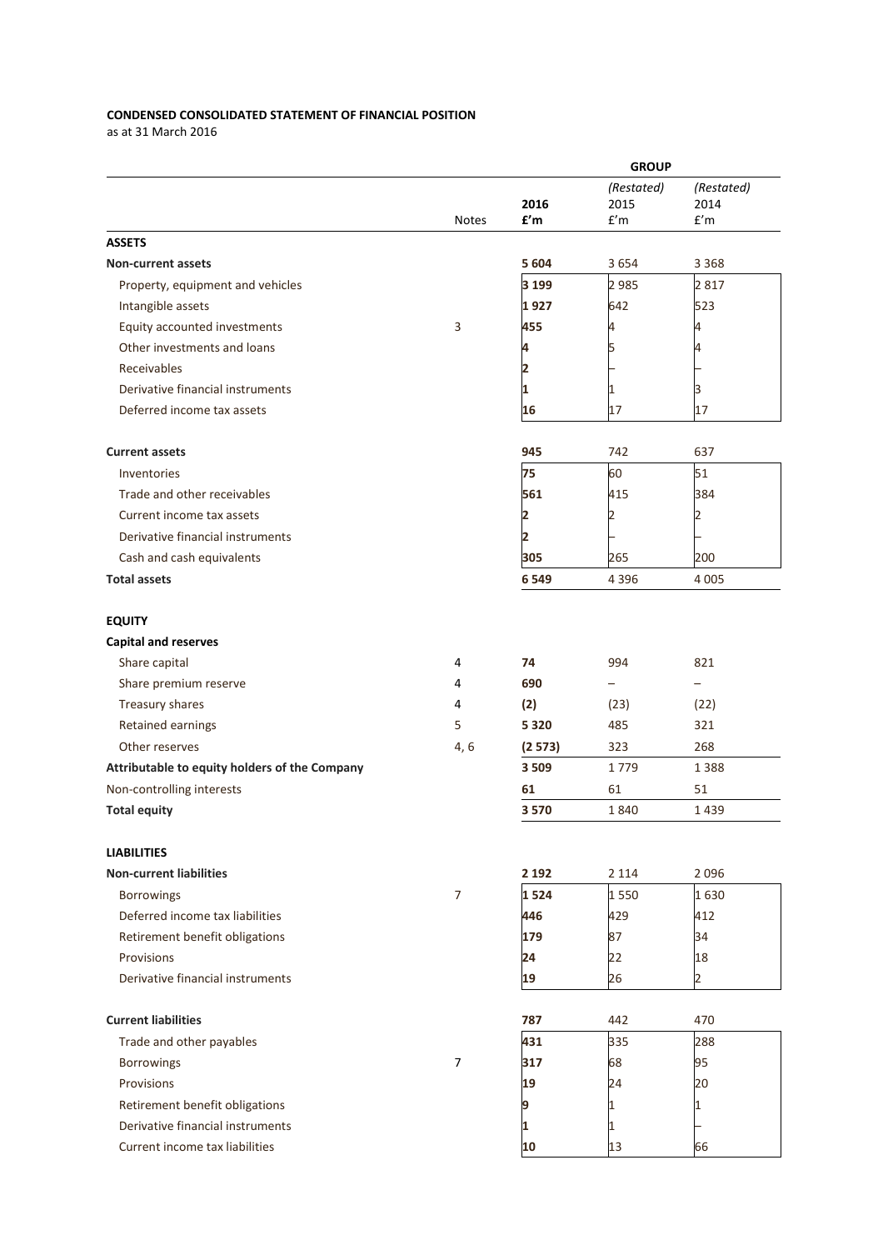## **CONDENSED CONSOLIDATED STATEMENT OF FINANCIAL POSITION**

as at 31 March 2016

|                                                      |                | <b>GROUP</b> |            |                |  |
|------------------------------------------------------|----------------|--------------|------------|----------------|--|
|                                                      |                |              | (Restated) | (Restated)     |  |
|                                                      |                | 2016         | 2015       | 2014           |  |
|                                                      | <b>Notes</b>   | f'm          | f'm        | f'm            |  |
| <b>ASSETS</b>                                        |                |              |            |                |  |
| Non-current assets                                   |                | 5 604        | 3654       | 3 3 6 8        |  |
| Property, equipment and vehicles                     |                | 3 1 9 9      | 2 9 8 5    | 2817           |  |
| Intangible assets                                    |                | 1 927        | 642        | 523            |  |
| Equity accounted investments                         | 3              | 455          | 4          | 4              |  |
| Other investments and loans                          |                |              |            |                |  |
| Receivables                                          |                | 2            |            |                |  |
| Derivative financial instruments                     |                | 1            | 1          |                |  |
| Deferred income tax assets                           |                | 16           | 17         | 17             |  |
|                                                      |                |              |            |                |  |
| <b>Current assets</b>                                |                | 945          | 742        | 637            |  |
| Inventories                                          |                | 75           | 60         | 51             |  |
| Trade and other receivables                          |                | 561          | 415        | 384            |  |
| Current income tax assets                            |                | 2            | 2          | 2              |  |
| Derivative financial instruments                     |                | 2            |            |                |  |
| Cash and cash equivalents                            |                | 305          | 265        | 200            |  |
| <b>Total assets</b>                                  |                | 6 5 4 9      | 4 3 9 6    | 4 0 0 5        |  |
|                                                      |                |              |            |                |  |
| <b>EQUITY</b>                                        |                |              |            |                |  |
| <b>Capital and reserves</b>                          |                |              |            |                |  |
| Share capital                                        | 4              | 74           | 994        | 821            |  |
| Share premium reserve                                | 4              | 690          |            |                |  |
| Treasury shares                                      | 4              | (2)          | (23)       | (22)           |  |
| Retained earnings                                    | 5              | 5 3 2 0      | 485        | 321            |  |
| Other reserves                                       | 4, 6           | (2573)       | 323        | 268            |  |
|                                                      |                | 3 5 0 9      | 1779       |                |  |
| Attributable to equity holders of the Company        |                |              |            | 1388           |  |
| Non-controlling interests                            |                | 61           | 61         | 51             |  |
| <b>Total equity</b>                                  |                | 3570         | 1840       | 1439           |  |
|                                                      |                |              |            |                |  |
| <b>LIABILITIES</b><br><b>Non-current liabilities</b> |                | 2 1 9 2      | 2 1 1 4    | 2096           |  |
| <b>Borrowings</b>                                    | $\overline{7}$ | 1524         | 1550       | 1630           |  |
|                                                      |                |              |            |                |  |
| Deferred income tax liabilities                      |                | 446          | 429        | 412            |  |
| Retirement benefit obligations                       |                | 179          | 87         | 34             |  |
| Provisions                                           |                | 24           | 22         | 18             |  |
| Derivative financial instruments                     |                | 19           | 26         | $\overline{2}$ |  |
| <b>Current liabilities</b>                           |                | 787          | 442        | 470            |  |
| Trade and other payables                             |                | 431          | 335        | 288            |  |
|                                                      | $\overline{7}$ |              |            |                |  |
| <b>Borrowings</b>                                    |                | 317          | 68         | 95             |  |
| Provisions                                           |                | 19           | 24         | 20             |  |
| Retirement benefit obligations                       |                | 9            | 1          | 1              |  |
| Derivative financial instruments                     |                | 1            | 1          |                |  |
| Current income tax liabilities                       |                | 10           | 13         | 66             |  |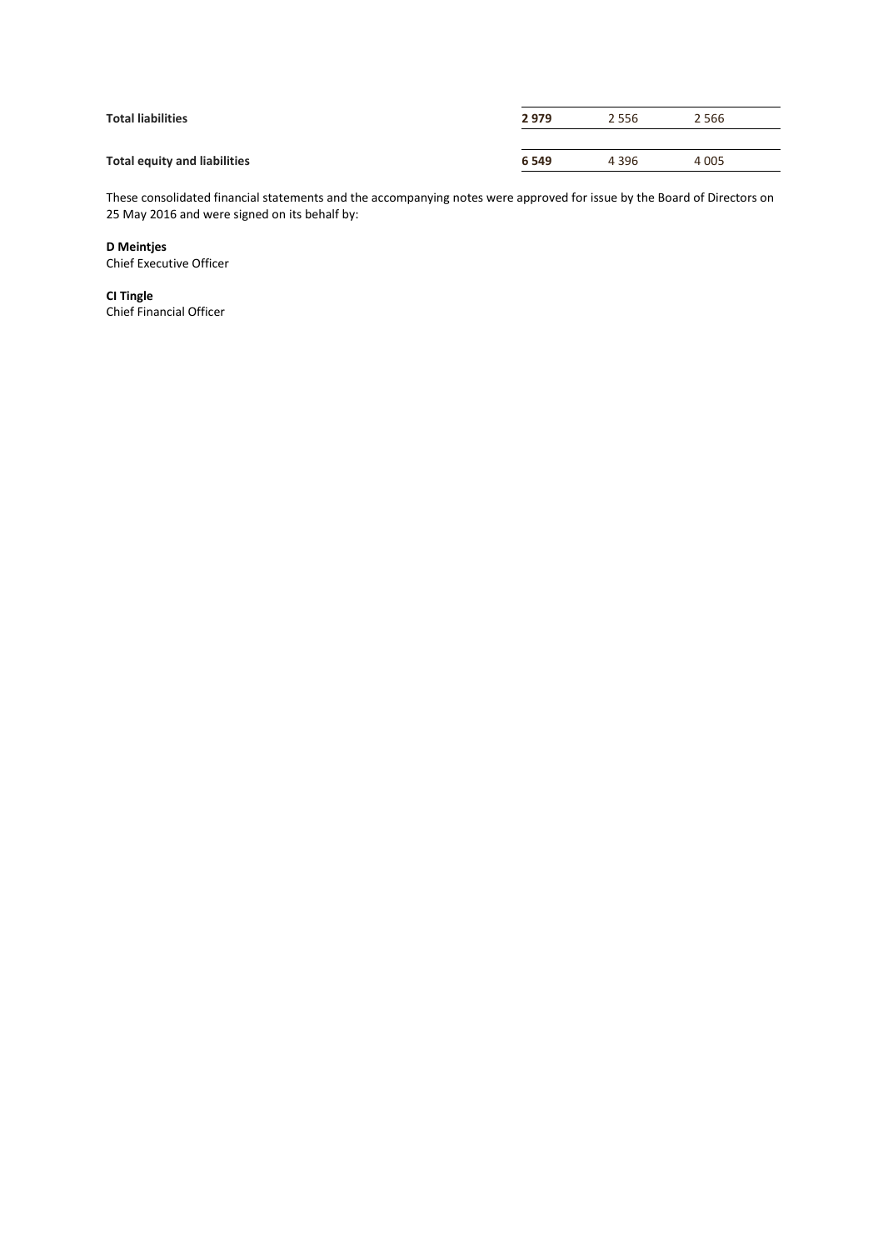| <b>Total liabilities</b>            | 2979    | 2 5 5 6 | 2 5 6 6 |
|-------------------------------------|---------|---------|---------|
|                                     |         |         |         |
| <b>Total equity and liabilities</b> | 6 5 4 9 | 4 3 9 6 | 4 0 0 5 |

These consolidated financial statements and the accompanying notes were approved for issue by the Board of Directors on 25 May 2016 and were signed on its behalf by:

## **D Meintjes**

Chief Executive Officer

**CI Tingle** Chief Financial Officer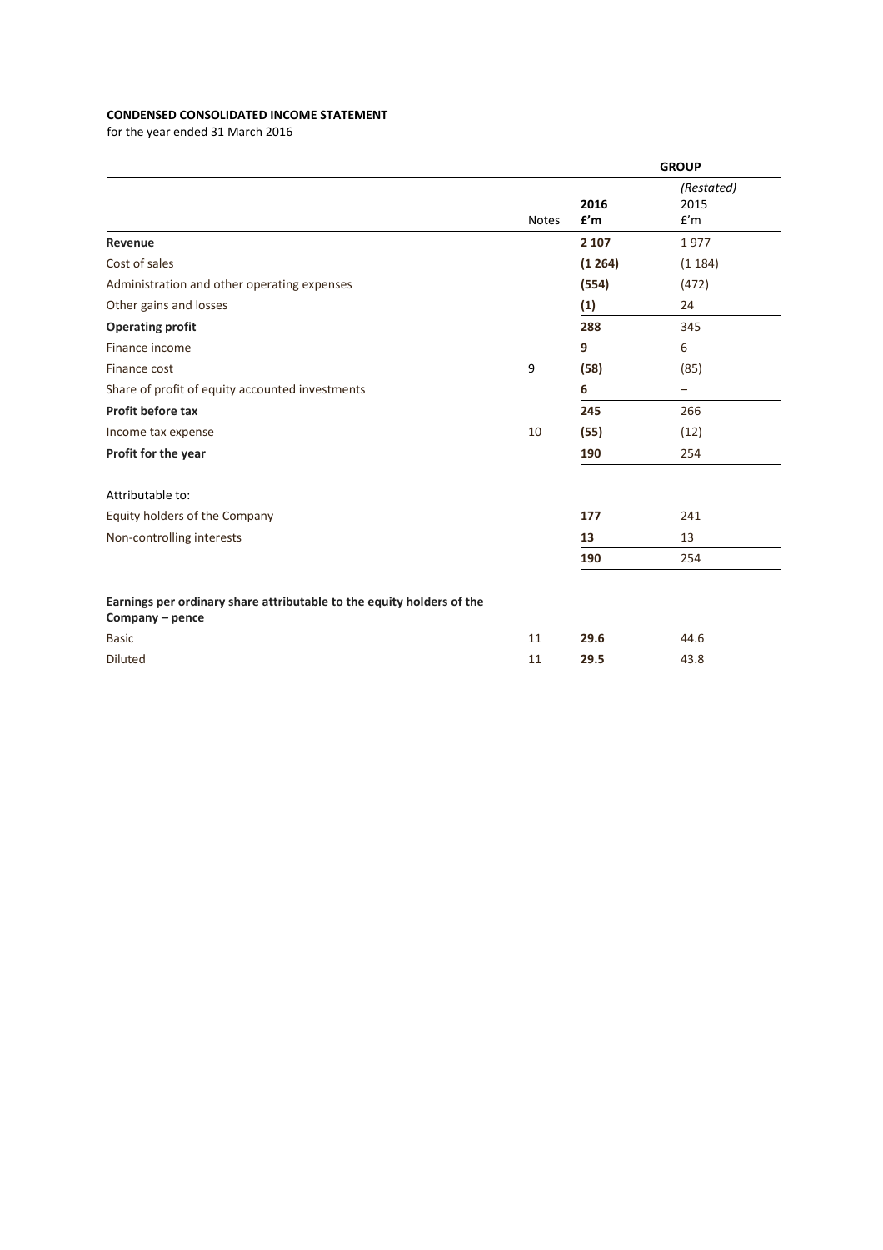## **CONDENSED CONSOLIDATED INCOME STATEMENT**

|              |             | <b>GROUP</b>              |
|--------------|-------------|---------------------------|
| <b>Notes</b> | 2016<br>f'm | (Restated)<br>2015<br>f'm |
|              | 2 1 0 7     | 1977                      |
|              | (1264)      | (1184)                    |
|              | (554)       | (472)                     |
|              | (1)         | 24                        |
|              | 288         | 345                       |
|              | 9           | 6                         |
| 9            | (58)        | (85)                      |
|              | 6           |                           |
|              | 245         | 266                       |
| 10           | (55)        | (12)                      |
|              | 190         | 254                       |
|              |             |                           |
|              | 177         | 241                       |
|              | 13          | 13                        |
|              | 190         | 254                       |
|              |             |                           |
| 11           | 29.6        | 44.6                      |
| 11           | 29.5        | 43.8                      |
|              |             |                           |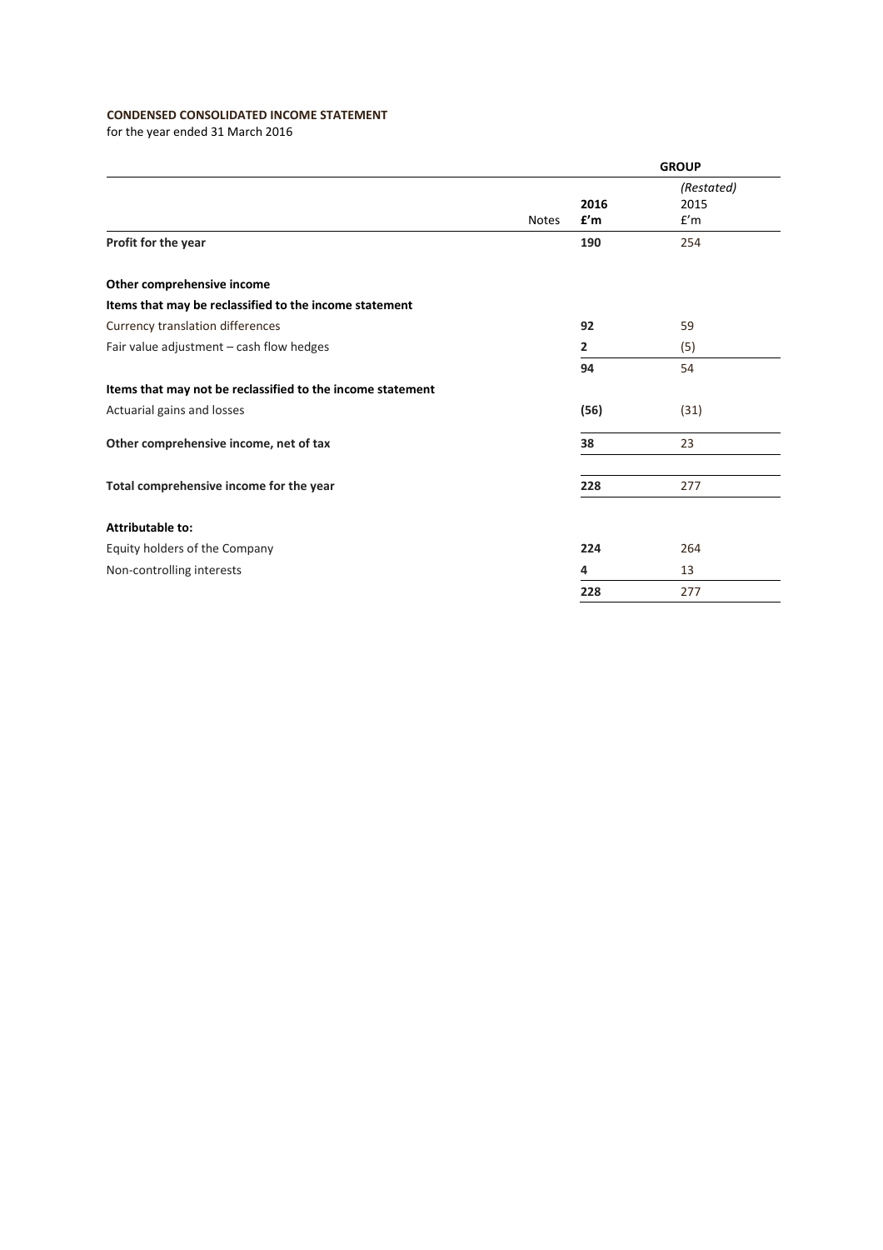## **CONDENSED CONSOLIDATED INCOME STATEMENT**

|                                                            |              |             | <b>GROUP</b>              |
|------------------------------------------------------------|--------------|-------------|---------------------------|
|                                                            | <b>Notes</b> | 2016<br>f'm | (Restated)<br>2015<br>f'm |
| Profit for the year                                        |              | 190         | 254                       |
| Other comprehensive income                                 |              |             |                           |
| Items that may be reclassified to the income statement     |              |             |                           |
| Currency translation differences                           |              | 92          | 59                        |
| Fair value adjustment - cash flow hedges                   |              | 2           | (5)                       |
|                                                            |              | 94          | 54                        |
| Items that may not be reclassified to the income statement |              |             |                           |
| Actuarial gains and losses                                 |              | (56)        | (31)                      |
| Other comprehensive income, net of tax                     |              | 38          | 23                        |
| Total comprehensive income for the year                    |              | 228         | 277                       |
| Attributable to:                                           |              |             |                           |
| Equity holders of the Company                              |              | 224         | 264                       |
| Non-controlling interests                                  |              | 4           | 13                        |
|                                                            |              | 228         | 277                       |
|                                                            |              |             |                           |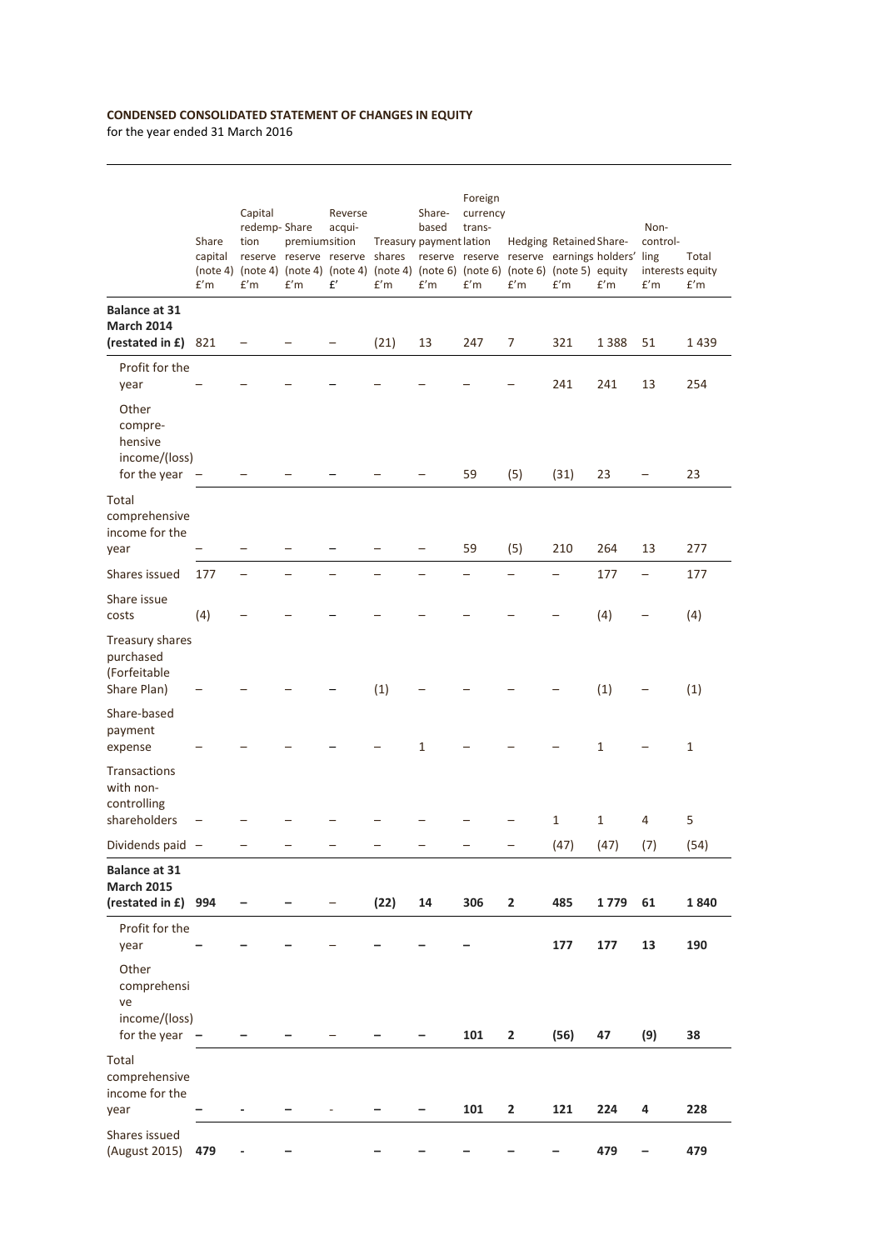## **CONDENSED CONSOLIDATED STATEMENT OF CHANGES IN EQUITY**

|                                                                  | Share<br>capital<br>f'm | Capital<br>redemp-Share<br>tion<br>f'm | premiumsition<br>f'm | Reverse<br>acqui-<br>reserve reserve reserve shares reserve reserve reserve earnings holders' ling<br>(note 4) (note 4) (note 4) (note 4) (note 4) (note 6) (note 6) (note 6) (note 5) equity<br>£' | Treasury payment lation<br>f'm | Share-<br>based<br>f'm | Foreign<br>currency<br>trans-<br>f'm | f'm                     | Hedging Retained Share-<br>f'm | f'm  | Non-<br>control-<br>interests equity<br>f'm | Total<br>f'm |
|------------------------------------------------------------------|-------------------------|----------------------------------------|----------------------|-----------------------------------------------------------------------------------------------------------------------------------------------------------------------------------------------------|--------------------------------|------------------------|--------------------------------------|-------------------------|--------------------------------|------|---------------------------------------------|--------------|
| <b>Balance at 31</b><br><b>March 2014</b><br>(restated in £) 821 |                         |                                        |                      |                                                                                                                                                                                                     | (21)                           | 13                     | 247                                  | 7                       | 321                            | 1388 | 51                                          | 1439         |
| Profit for the<br>year                                           |                         |                                        |                      |                                                                                                                                                                                                     |                                |                        |                                      |                         | 241                            | 241  | 13                                          | 254          |
| Other<br>compre-<br>hensive<br>income/(loss)<br>for the year $-$ |                         |                                        |                      |                                                                                                                                                                                                     |                                |                        | 59                                   | (5)                     | (31)                           | 23   |                                             | 23           |
| Total                                                            |                         |                                        |                      |                                                                                                                                                                                                     |                                |                        |                                      |                         |                                |      |                                             |              |
| comprehensive<br>income for the<br>year                          |                         |                                        |                      |                                                                                                                                                                                                     |                                |                        | 59                                   | (5)                     | 210                            | 264  | 13                                          | 277          |
| Shares issued                                                    | 177                     |                                        |                      |                                                                                                                                                                                                     |                                |                        |                                      |                         |                                | 177  | -                                           | 177          |
| Share issue<br>costs                                             | (4)                     |                                        |                      |                                                                                                                                                                                                     |                                |                        |                                      |                         |                                | (4)  |                                             | (4)          |
| Treasury shares<br>purchased<br>(Forfeitable<br>Share Plan)      |                         |                                        |                      |                                                                                                                                                                                                     | (1)                            |                        |                                      |                         |                                | (1)  |                                             | (1)          |
| Share-based<br>payment<br>expense                                |                         |                                        |                      |                                                                                                                                                                                                     |                                | 1                      |                                      |                         |                                | 1    |                                             | $\mathbf{1}$ |
| <b>Transactions</b><br>with non-<br>controlling<br>shareholders  |                         |                                        |                      |                                                                                                                                                                                                     |                                |                        |                                      |                         | $\mathbf{1}$                   | 1    | 4                                           | 5            |
| Dividends paid -                                                 |                         |                                        |                      |                                                                                                                                                                                                     |                                |                        |                                      |                         | (47)                           | (47) | (7)                                         | (54)         |
| <b>Balance at 31</b><br><b>March 2015</b><br>(restated in £) 994 |                         |                                        |                      |                                                                                                                                                                                                     | (22)                           | 14                     | 306                                  | $\overline{2}$          | 485                            | 1779 | 61                                          | 1840         |
| Profit for the<br>year                                           |                         |                                        |                      |                                                                                                                                                                                                     |                                |                        |                                      |                         | 177                            | 177  | 13                                          | 190          |
| Other<br>comprehensi<br>ve                                       |                         |                                        |                      |                                                                                                                                                                                                     |                                |                        |                                      |                         |                                |      |                                             |              |
| income/(loss)<br>for the year $-$                                |                         |                                        |                      |                                                                                                                                                                                                     |                                |                        | 101                                  | $\mathbf{2}$            | (56)                           | 47   | (9)                                         | 38           |
| Total<br>comprehensive<br>income for the<br>year                 |                         | ۰                                      |                      |                                                                                                                                                                                                     |                                |                        | 101                                  | $\overline{\mathbf{2}}$ | 121                            | 224  | 4                                           | 228          |
| Shares issued                                                    |                         |                                        |                      |                                                                                                                                                                                                     |                                |                        |                                      |                         |                                |      |                                             |              |
| (August 2015)                                                    | 479                     |                                        |                      |                                                                                                                                                                                                     |                                |                        |                                      |                         |                                | 479  |                                             | 479          |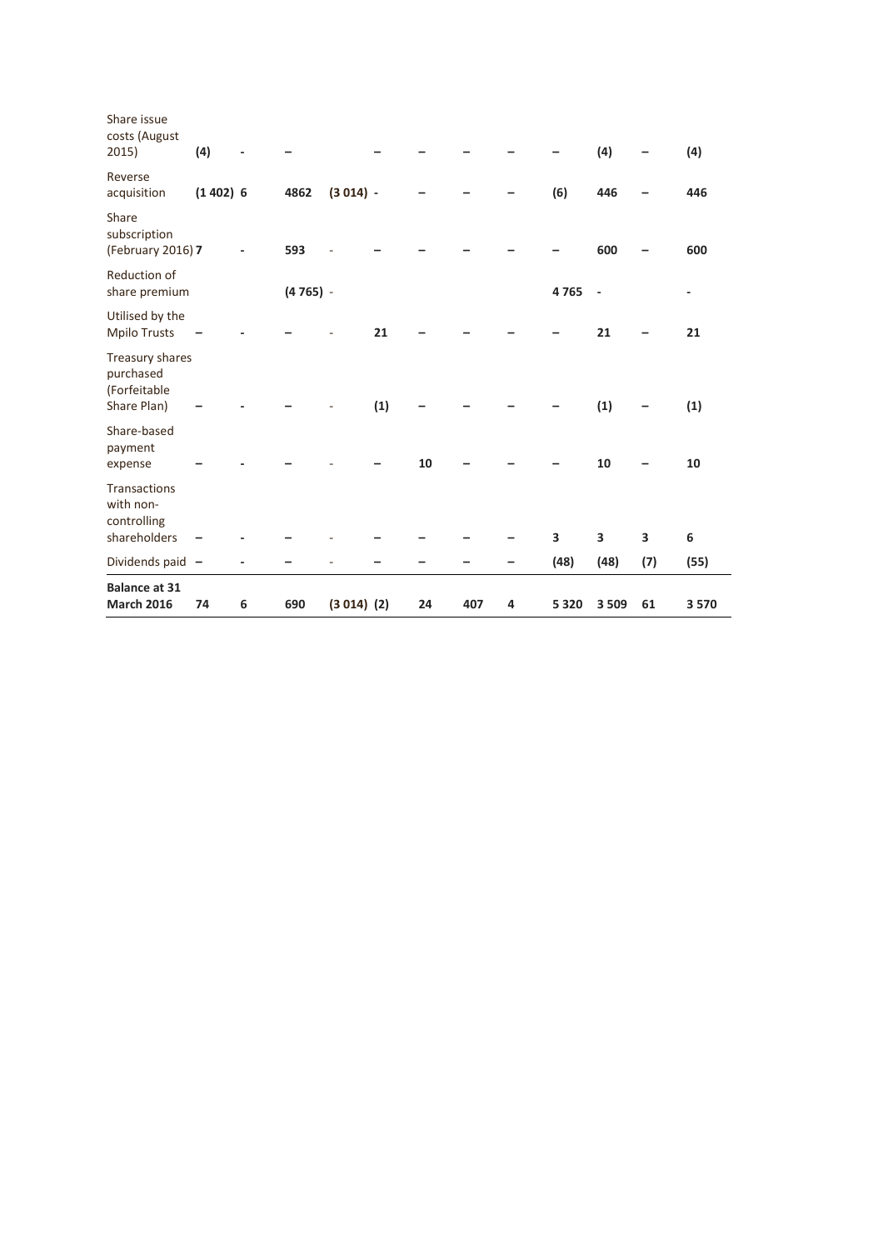| <b>March 2016</b>                                               | 74         | 6 | 690        | $(3 014)$ $(2)$ |     | 24 | 407 | 4 | 5 3 2 0 | 3 5 0 9                  | 61  | 3570 |
|-----------------------------------------------------------------|------------|---|------------|-----------------|-----|----|-----|---|---------|--------------------------|-----|------|
| <b>Balance at 31</b>                                            |            |   |            |                 |     |    |     |   |         |                          |     |      |
| Dividends paid -                                                |            |   |            |                 |     |    |     |   | (48)    | (48)                     | (7) | (55) |
| <b>Transactions</b><br>with non-<br>controlling<br>shareholders |            |   |            |                 |     |    |     |   | 3       | 3                        | 3   | 6    |
| Share-based<br>payment<br>expense                               |            |   |            |                 |     | 10 |     |   |         | 10                       |     | 10   |
| Treasury shares<br>purchased<br>(Forfeitable<br>Share Plan)     |            |   |            |                 | (1) |    |     |   |         | (1)                      |     | (1)  |
| Utilised by the<br><b>Mpilo Trusts</b>                          |            |   |            |                 | 21  |    |     |   |         | 21                       |     | 21   |
| <b>Reduction of</b><br>share premium                            |            |   | $(4765) -$ |                 |     |    |     |   | 4765    | $\overline{\phantom{a}}$ |     | ٠    |
| Share<br>subscription<br>(February 2016) 7                      |            |   | 593        |                 |     |    |     |   |         | 600                      |     | 600  |
| Reverse<br>acquisition                                          | $(1402)$ 6 |   | 4862       | $(3014) -$      |     |    |     |   | (6)     | 446                      |     | 446  |
| Share issue<br>costs (August<br>2015)                           | (4)        |   |            |                 |     |    |     |   |         | (4)                      |     | (4)  |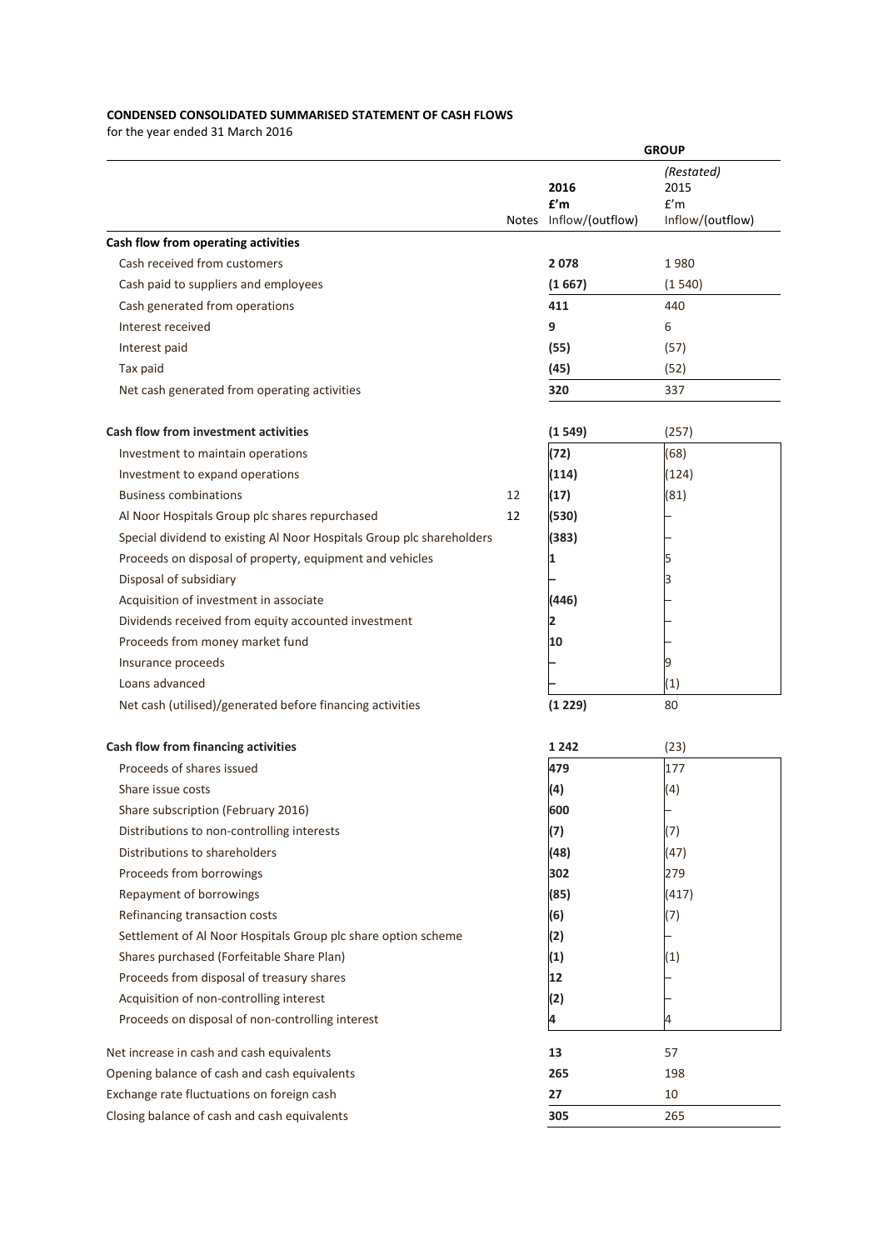## **CONDENSED CONSOLIDATED SUMMARISED STATEMENT OF CASH FLOWS**

|                                                                       |    |                                       | <b>GROUP</b>                                  |
|-----------------------------------------------------------------------|----|---------------------------------------|-----------------------------------------------|
|                                                                       |    | 2016<br>£'m<br>Notes Inflow/(outflow) | (Restated)<br>2015<br>f'm<br>Inflow/(outflow) |
| Cash flow from operating activities                                   |    |                                       |                                               |
| Cash received from customers                                          |    | 2078                                  | 1980                                          |
| Cash paid to suppliers and employees                                  |    | (1667)                                | (1540)                                        |
| Cash generated from operations                                        |    | 411                                   | 440                                           |
| Interest received                                                     |    | 9                                     | 6                                             |
| Interest paid                                                         |    | (55)                                  | (57)                                          |
| Tax paid                                                              |    | (45)                                  | (52)                                          |
| Net cash generated from operating activities                          |    | 320                                   | 337                                           |
| <b>Cash flow from investment activities</b>                           |    | (1549)                                | (257)                                         |
| Investment to maintain operations                                     |    | (72)                                  | (68)                                          |
| Investment to expand operations                                       |    | (114)                                 | (124)                                         |
| <b>Business combinations</b>                                          | 12 | (17)                                  | (81)                                          |
| Al Noor Hospitals Group plc shares repurchased                        | 12 | (530)                                 |                                               |
| Special dividend to existing Al Noor Hospitals Group plc shareholders |    | (383)                                 |                                               |
| Proceeds on disposal of property, equipment and vehicles              |    | 1                                     |                                               |
| Disposal of subsidiary                                                |    |                                       |                                               |
| Acquisition of investment in associate                                |    | (446)                                 |                                               |
| Dividends received from equity accounted investment                   |    | 2                                     |                                               |
| Proceeds from money market fund                                       |    | 10                                    |                                               |
| Insurance proceeds                                                    |    |                                       |                                               |
| Loans advanced                                                        |    |                                       | (1)                                           |
| Net cash (utilised)/generated before financing activities             |    | (1 229)                               | 80                                            |
| Cash flow from financing activities                                   |    | 1 2 4 2                               | (23)                                          |
| Proceeds of shares issued                                             |    | 479                                   | 177                                           |
| Share issue costs                                                     |    | (4)                                   | (4)                                           |
| Share subscription (February 2016)                                    |    | 600                                   |                                               |
| Distributions to non-controlling interests                            |    | (7)                                   | (7)                                           |
| Distributions to shareholders                                         |    | (48)                                  | (47)                                          |
| Proceeds from borrowings                                              |    | 302                                   | 279                                           |
| Repayment of borrowings                                               |    | (85)                                  | (417)                                         |
| Refinancing transaction costs                                         |    | (6)                                   | (7)                                           |
| Settlement of Al Noor Hospitals Group plc share option scheme         |    | (2)                                   |                                               |
| Shares purchased (Forfeitable Share Plan)                             |    | (1)                                   | (1)                                           |
| Proceeds from disposal of treasury shares                             |    | 12                                    |                                               |
| Acquisition of non-controlling interest                               |    | (2)                                   |                                               |
| Proceeds on disposal of non-controlling interest                      |    | 4                                     |                                               |
| Net increase in cash and cash equivalents                             |    | 13                                    | 57                                            |
| Opening balance of cash and cash equivalents                          |    | 265                                   | 198                                           |
| Exchange rate fluctuations on foreign cash                            |    | 27                                    | 10                                            |
| Closing balance of cash and cash equivalents                          |    | 305                                   | 265                                           |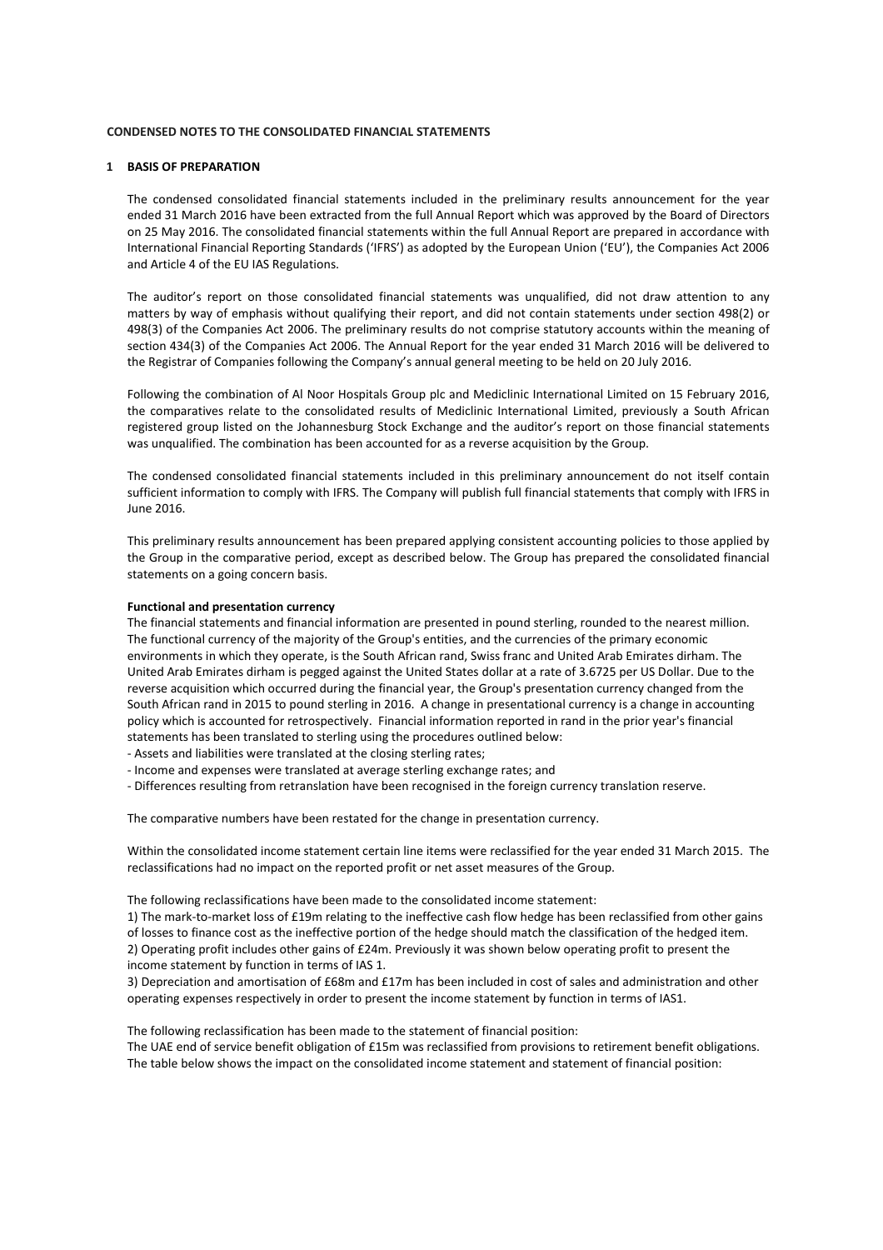#### **1 BASIS OF PREPARATION**

The condensed consolidated financial statements included in the preliminary results announcement for the year ended 31 March 2016 have been extracted from the full Annual Report which was approved by the Board of Directors on 25 May 2016. The consolidated financial statements within the full Annual Report are prepared in accordance with International Financial Reporting Standards ('IFRS') as adopted by the European Union ('EU'), the Companies Act 2006 and Article 4 of the EU IAS Regulations.

The auditor's report on those consolidated financial statements was unqualified, did not draw attention to any matters by way of emphasis without qualifying their report, and did not contain statements under section 498(2) or 498(3) of the Companies Act 2006. The preliminary results do not comprise statutory accounts within the meaning of section 434(3) of the Companies Act 2006. The Annual Report for the year ended 31 March 2016 will be delivered to the Registrar of Companies following the Company's annual general meeting to be held on 20 July 2016.

Following the combination of Al Noor Hospitals Group plc and Mediclinic International Limited on 15 February 2016, the comparatives relate to the consolidated results of Mediclinic International Limited, previously a South African registered group listed on the Johannesburg Stock Exchange and the auditor's report on those financial statements was unqualified. The combination has been accounted for as a reverse acquisition by the Group.

The condensed consolidated financial statements included in this preliminary announcement do not itself contain sufficient information to comply with IFRS. The Company will publish full financial statements that comply with IFRS in June 2016.

This preliminary results announcement has been prepared applying consistent accounting policies to those applied by the Group in the comparative period, except as described below. The Group has prepared the consolidated financial statements on a going concern basis.

### **Functional and presentation currency**

The financial statements and financial information are presented in pound sterling, rounded to the nearest million. The functional currency of the majority of the Group's entities, and the currencies of the primary economic environments in which they operate, is the South African rand, Swiss franc and United Arab Emirates dirham. The United Arab Emirates dirham is pegged against the United States dollar at a rate of 3.6725 per US Dollar. Due to the reverse acquisition which occurred during the financial year, the Group's presentation currency changed from the South African rand in 2015 to pound sterling in 2016. A change in presentational currency is a change in accounting policy which is accounted for retrospectively. Financial information reported in rand in the prior year's financial statements has been translated to sterling using the procedures outlined below:

- Assets and liabilities were translated at the closing sterling rates;

- Income and expenses were translated at average sterling exchange rates; and
- Differences resulting from retranslation have been recognised in the foreign currency translation reserve.

The comparative numbers have been restated for the change in presentation currency.

Within the consolidated income statement certain line items were reclassified for the year ended 31 March 2015. The reclassifications had no impact on the reported profit or net asset measures of the Group.

The following reclassifications have been made to the consolidated income statement:

1) The mark-to-market loss of £19m relating to the ineffective cash flow hedge has been reclassified from other gains of losses to finance cost as the ineffective portion of the hedge should match the classification of the hedged item. 2) Operating profit includes other gains of £24m. Previously it was shown below operating profit to present the income statement by function in terms of IAS 1.

3) Depreciation and amortisation of £68m and £17m has been included in cost of sales and administration and other operating expenses respectively in order to present the income statement by function in terms of IAS1.

The following reclassification has been made to the statement of financial position:

The UAE end of service benefit obligation of £15m was reclassified from provisions to retirement benefit obligations. The table below shows the impact on the consolidated income statement and statement of financial position: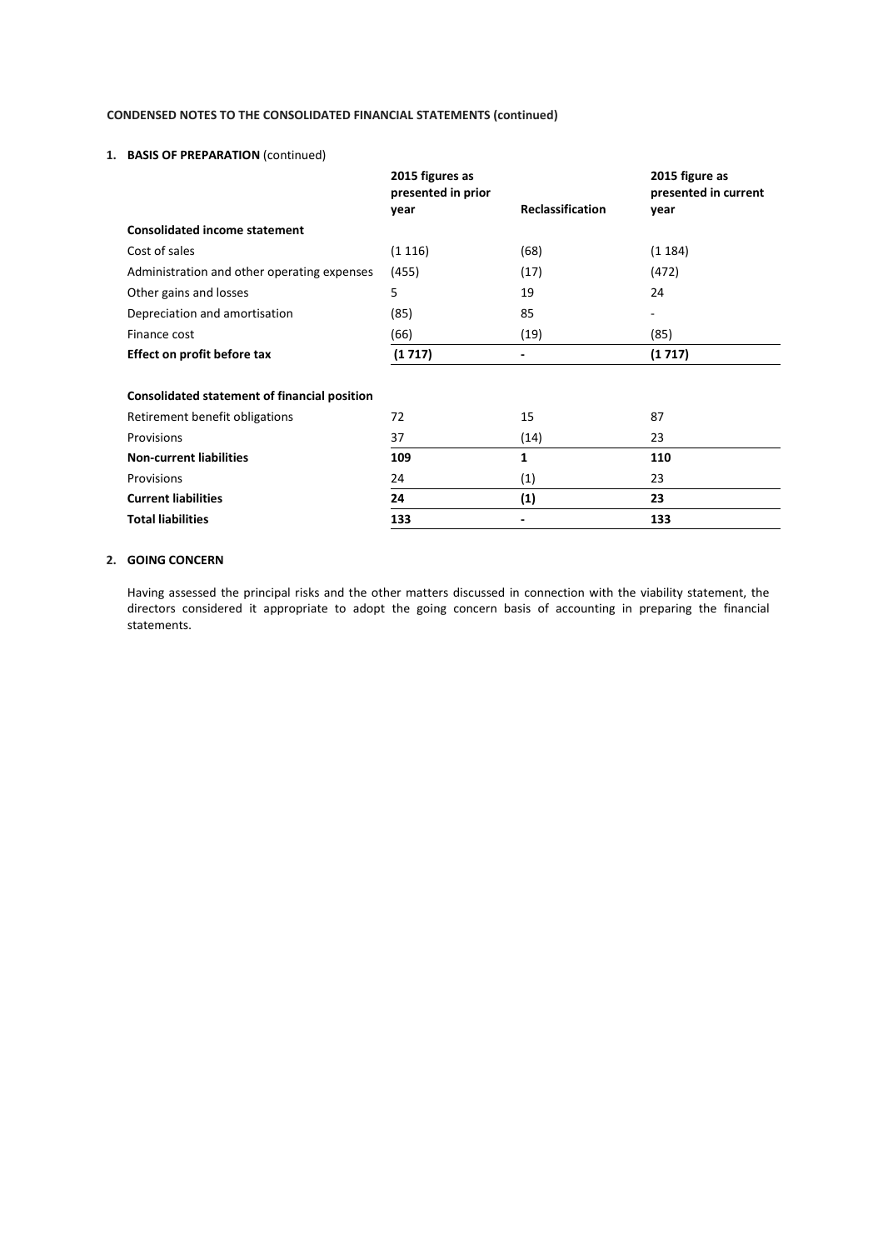## **1. BASIS OF PREPARATION** (continued)

|                                                     | 2015 figures as<br>presented in prior |                         | 2015 figure as<br>presented in current |
|-----------------------------------------------------|---------------------------------------|-------------------------|----------------------------------------|
|                                                     | year                                  | <b>Reclassification</b> | year                                   |
| <b>Consolidated income statement</b>                |                                       |                         |                                        |
| Cost of sales                                       | (1116)                                | (68)                    | (1184)                                 |
| Administration and other operating expenses         | (455)                                 | (17)                    | (472)                                  |
| Other gains and losses                              | 5                                     | 19                      | 24                                     |
| Depreciation and amortisation                       | (85)                                  | 85                      | -                                      |
| Finance cost                                        | (66)                                  | (19)                    | (85)                                   |
| Effect on profit before tax                         | (1717)                                |                         | (1717)                                 |
|                                                     |                                       |                         |                                        |
| <b>Consolidated statement of financial position</b> |                                       |                         |                                        |
| Retirement benefit obligations                      | 72                                    | 15                      | 87                                     |
| Provisions                                          | 37                                    | (14)                    | 23                                     |
| <b>Non-current liabilities</b>                      | 109                                   | 1                       | 110                                    |
| Provisions                                          | 24                                    | (1)                     | 23                                     |
| <b>Current liabilities</b>                          | 24                                    | (1)                     | 23                                     |
| <b>Total liabilities</b>                            | 133                                   |                         | 133                                    |

## **2. GOING CONCERN**

Having assessed the principal risks and the other matters discussed in connection with the viability statement, the directors considered it appropriate to adopt the going concern basis of accounting in preparing the financial statements.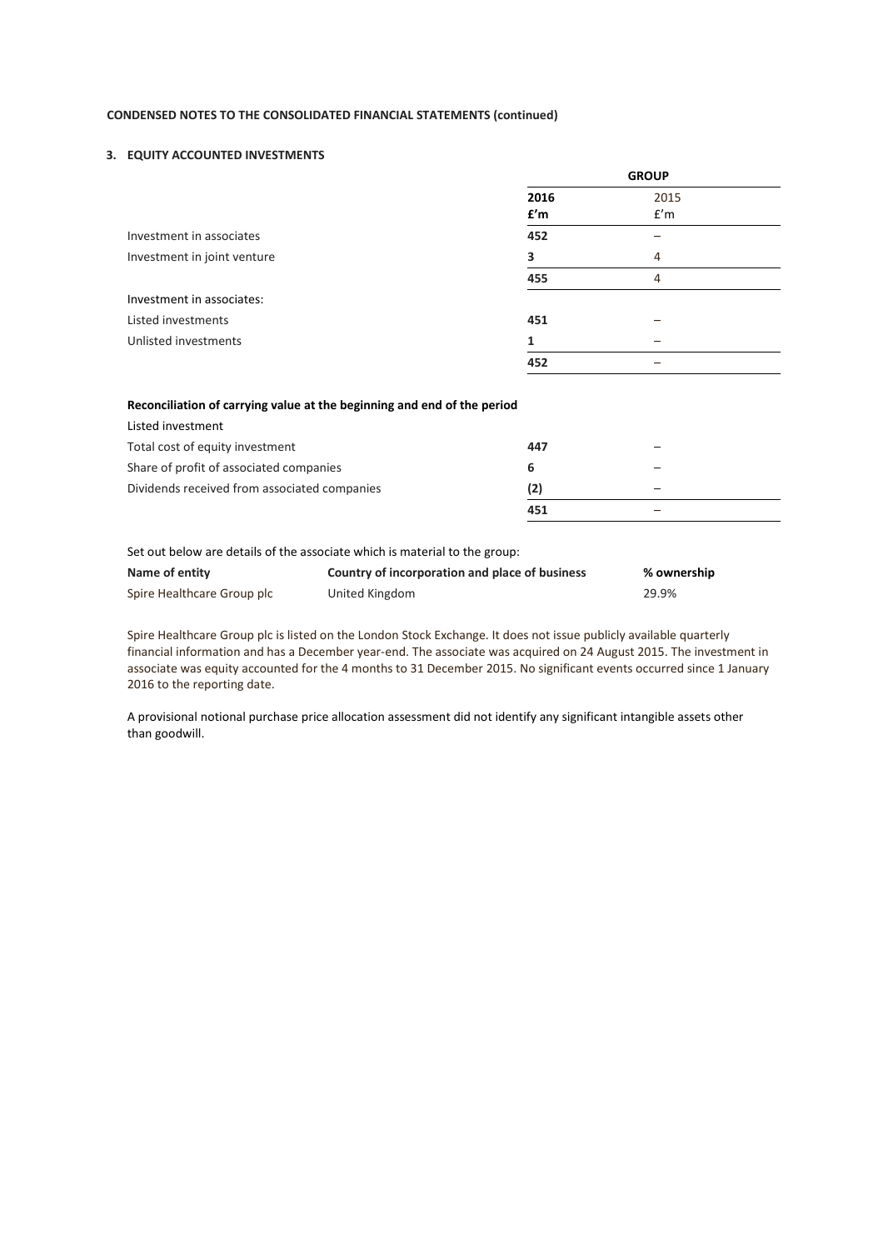### **3. EQUITY ACCOUNTED INVESTMENTS**

|                             | <b>GROUP</b> |             |  |
|-----------------------------|--------------|-------------|--|
|                             | 2016<br>f'm  | 2015<br>f'm |  |
| Investment in associates    | 452          |             |  |
| Investment in joint venture | 3            | 4           |  |
|                             | 455          | 4           |  |
| Investment in associates:   |              |             |  |
| Listed investments          | 451          |             |  |
| Unlisted investments        | 1            |             |  |
|                             | 452          |             |  |

### **Reconciliation of carrying value at the beginning and end of the period**

| Listed investment                            |     |   |  |
|----------------------------------------------|-----|---|--|
| Total cost of equity investment              | 447 | - |  |
| Share of profit of associated companies      |     | - |  |
| Dividends received from associated companies | (2) | - |  |
|                                              | 451 | - |  |

Set out below are details of the associate which is material to the group:

| Name of entity             | Country of incorporation and place of business | % ownership |
|----------------------------|------------------------------------------------|-------------|
| Spire Healthcare Group plc | United Kingdom                                 | 29.9%       |

Spire Healthcare Group plc is listed on the London Stock Exchange. It does not issue publicly available quarterly financial information and has a December year-end. The associate was acquired on 24 August 2015. The investment in associate was equity accounted for the 4 months to 31 December 2015. No significant events occurred since 1 January 2016 to the reporting date.

A provisional notional purchase price allocation assessment did not identify any significant intangible assets other than goodwill.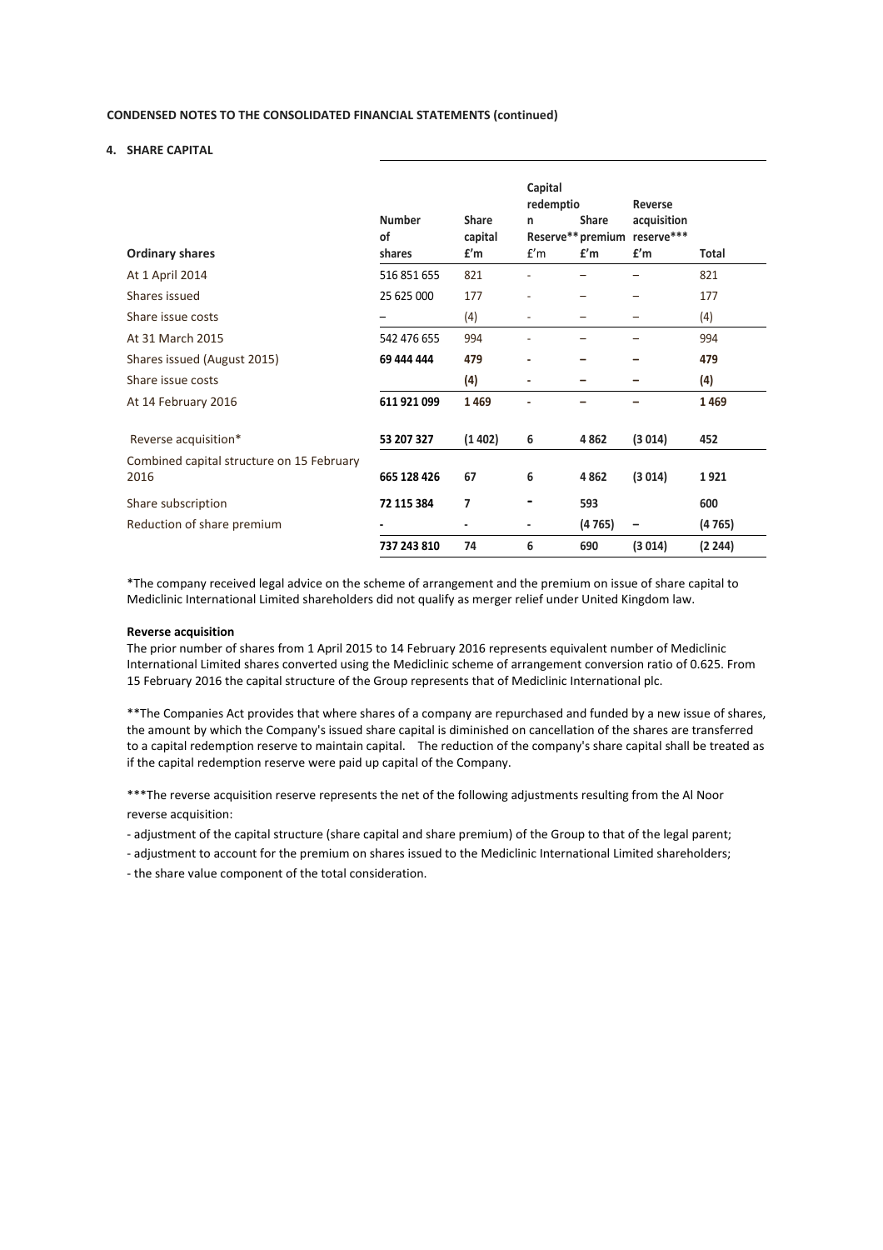### **4. SHARE CAPITAL**

| <b>Ordinary shares</b>                            | <b>Number</b><br>of<br>shares | <b>Share</b><br>capital<br>f'm | Capital<br>redemptio<br>n<br>f'm | <b>Share</b><br>f'm | Reverse<br>acquisition<br>Reserve** premium reserve***<br>f'm | Total   |
|---------------------------------------------------|-------------------------------|--------------------------------|----------------------------------|---------------------|---------------------------------------------------------------|---------|
| At 1 April 2014                                   | 516 851 655                   | 821                            |                                  |                     |                                                               | 821     |
| Shares issued                                     | 25 625 000                    | 177                            |                                  |                     |                                                               | 177     |
| Share issue costs                                 |                               | (4)                            |                                  |                     |                                                               | (4)     |
| At 31 March 2015                                  | 542 476 655                   | 994                            |                                  |                     |                                                               | 994     |
| Shares issued (August 2015)                       | 69 444 444                    | 479                            | ٠                                |                     |                                                               | 479     |
| Share issue costs                                 |                               | (4)                            | ٠                                | -                   |                                                               | (4)     |
| At 14 February 2016                               | 611 921 099                   | 1469                           |                                  |                     |                                                               | 1469    |
| Reverse acquisition*                              | 53 207 327                    | (1402)                         | 6                                | 4862                | (3014)                                                        | 452     |
| Combined capital structure on 15 February<br>2016 | 665 128 426                   | 67                             | 6                                | 4862                | (3014)                                                        | 1921    |
| Share subscription                                | 72 115 384                    | 7                              |                                  | 593                 |                                                               | 600     |
| Reduction of share premium                        |                               |                                | ٠                                | (4765)              |                                                               | (4765)  |
|                                                   | 737 243 810                   | 74                             | 6                                | 690                 | (3014)                                                        | (2 244) |

\*The company received legal advice on the scheme of arrangement and the premium on issue of share capital to Mediclinic International Limited shareholders did not qualify as merger relief under United Kingdom law.

#### **Reverse acquisition**

The prior number of shares from 1 April 2015 to 14 February 2016 represents equivalent number of Mediclinic International Limited shares converted using the Mediclinic scheme of arrangement conversion ratio of 0.625. From 15 February 2016 the capital structure of the Group represents that of Mediclinic International plc.

\*\*The Companies Act provides that where shares of a company are repurchased and funded by a new issue of shares, the amount by which the Company's issued share capital is diminished on cancellation of the shares are transferred to a capital redemption reserve to maintain capital. The reduction of the company's share capital shall be treated as if the capital redemption reserve were paid up capital of the Company.

\*\*\*The reverse acquisition reserve represents the net of the following adjustments resulting from the Al Noor reverse acquisition:

- adjustment of the capital structure (share capital and share premium) of the Group to that of the legal parent;

- adjustment to account for the premium on shares issued to the Mediclinic International Limited shareholders;

- the share value component of the total consideration.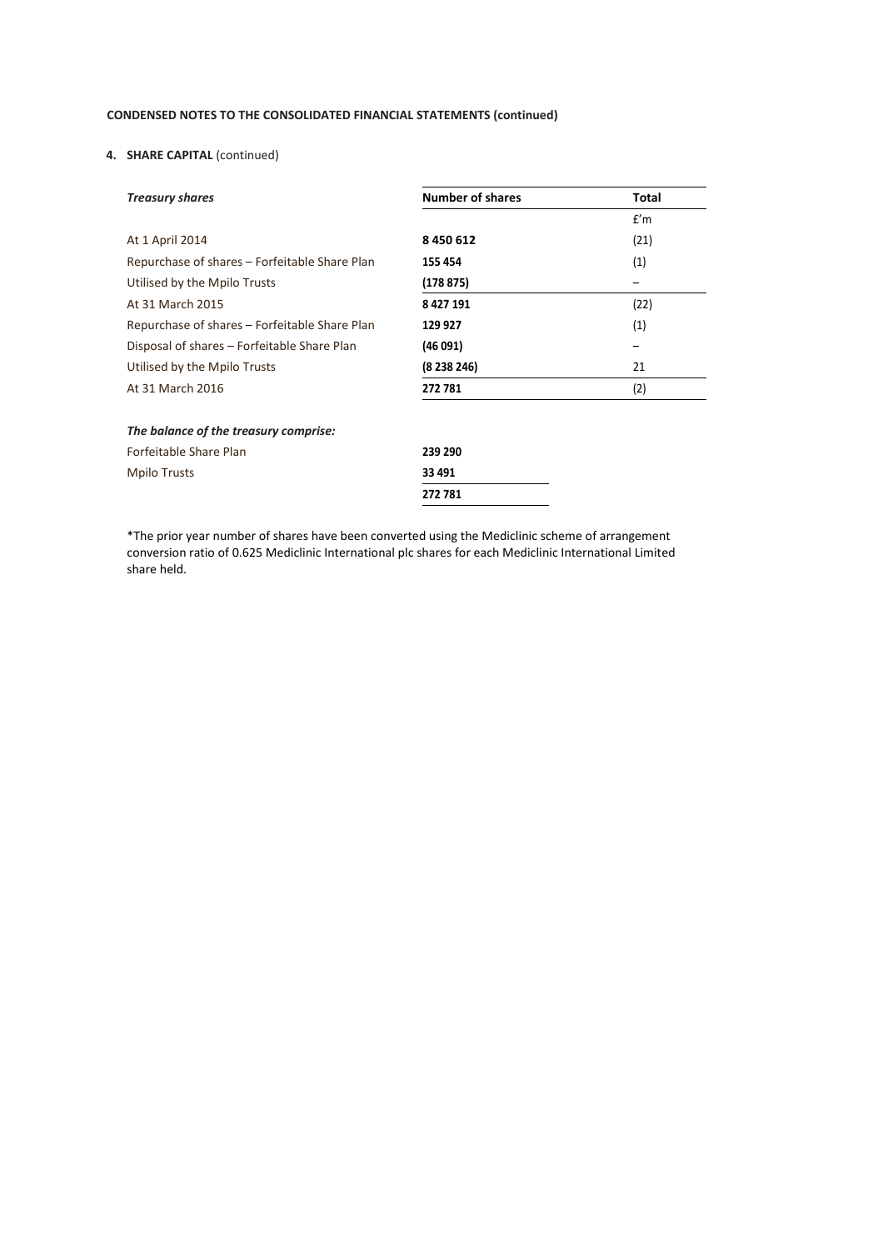## **4. SHARE CAPITAL** (continued)

| <b>Treasury shares</b>                        | <b>Number of shares</b> | Total |
|-----------------------------------------------|-------------------------|-------|
|                                               |                         | f'm   |
| At 1 April 2014                               | 8 450 612               | (21)  |
| Repurchase of shares – Forfeitable Share Plan | 155 454                 | (1)   |
| Utilised by the Mpilo Trusts                  | (178875)                |       |
| At 31 March 2015                              | 8 4 2 7 1 9 1           | (22)  |
| Repurchase of shares – Forfeitable Share Plan | 129 927                 | (1)   |
| Disposal of shares – Forfeitable Share Plan   | (46 091)                |       |
| Utilised by the Mpilo Trusts                  | (8238246)               | 21    |
| At 31 March 2016                              | 272781                  | (2)   |
| The balance of the treasury comprise:         |                         |       |
| Forfeitable Share Plan                        | 239 290                 |       |
| Mpilo Trusts                                  | 33 491                  |       |
|                                               | 272781                  |       |

\*The prior year number of shares have been converted using the Mediclinic scheme of arrangement conversion ratio of 0.625 Mediclinic International plc shares for each Mediclinic International Limited share held.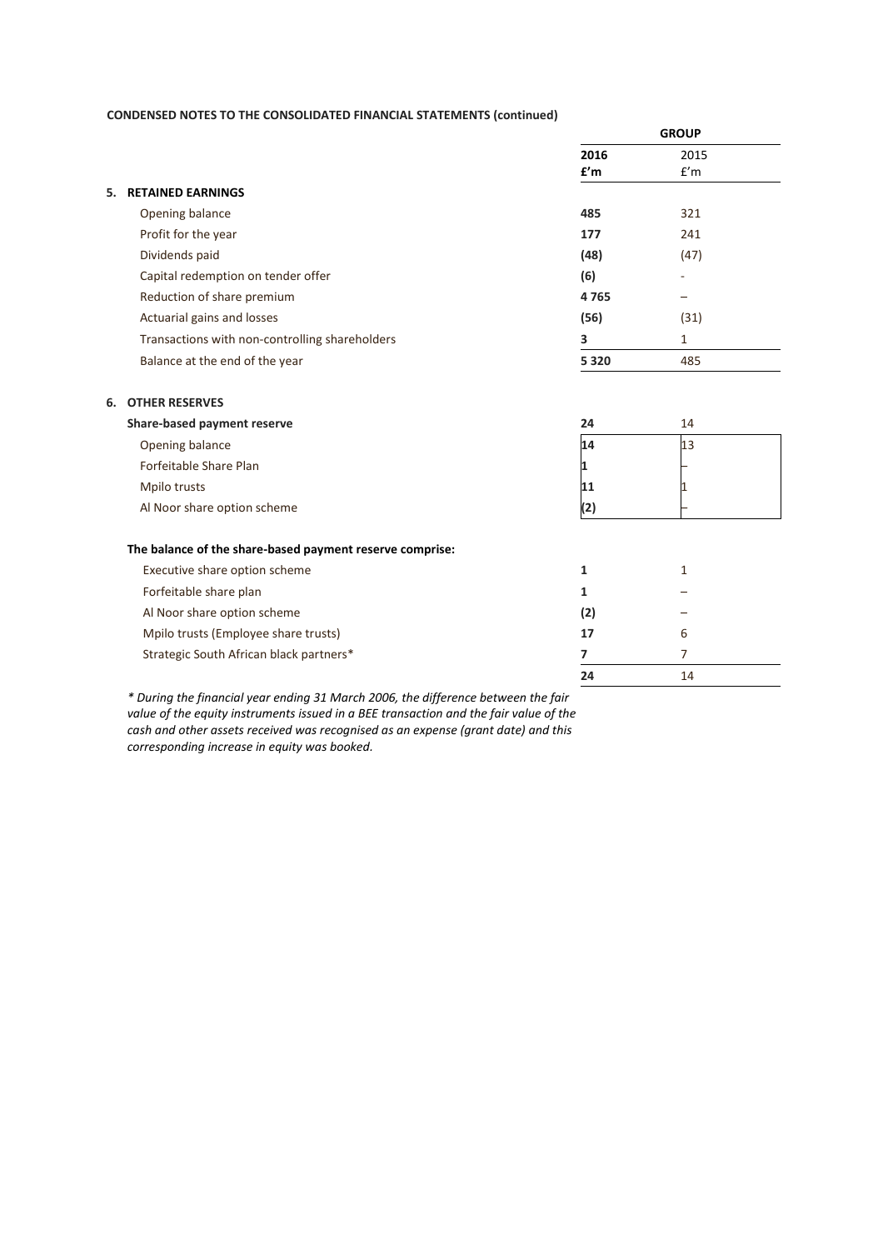|                                                | <b>GROUP</b> |      |  |
|------------------------------------------------|--------------|------|--|
|                                                | 2016         | 2015 |  |
|                                                | f'm          | f'm  |  |
| <b>RETAINED EARNINGS</b><br>5.                 |              |      |  |
| Opening balance                                | 485          | 321  |  |
| Profit for the year                            | 177          | 241  |  |
| Dividends paid                                 | (48)         | (47) |  |
| Capital redemption on tender offer             | (6)          |      |  |
| Reduction of share premium                     | 4765         |      |  |
| Actuarial gains and losses                     | (56)         | (31) |  |
| Transactions with non-controlling shareholders | 3            | 1    |  |
| Balance at the end of the year                 | 5 3 2 0      | 485  |  |
| <b>OTHER RESERVES</b><br>6.                    |              |      |  |
| Share-based payment reserve                    | 24           | 14   |  |
| Opening balance                                | 14           | 13   |  |
| Forfeitable Share Plan                         |              |      |  |
| Mpilo trusts                                   | 11           |      |  |
| Al Noor share option scheme                    | (2)          |      |  |

### **The balance of the share-based payment reserve comprise:**

| Executive share option scheme           |     |   |
|-----------------------------------------|-----|---|
| Forfeitable share plan                  |     |   |
| Al Noor share option scheme             | (2) |   |
| Mpilo trusts (Employee share trusts)    | 17  | b |
| Strategic South African black partners* |     |   |
|                                         |     |   |

*\* During the financial year ending 31 March 2006, the difference between the fair value of the equity instruments issued in a BEE transaction and the fair value of the cash and other assets received was recognised as an expense (grant date) and this corresponding increase in equity was booked.*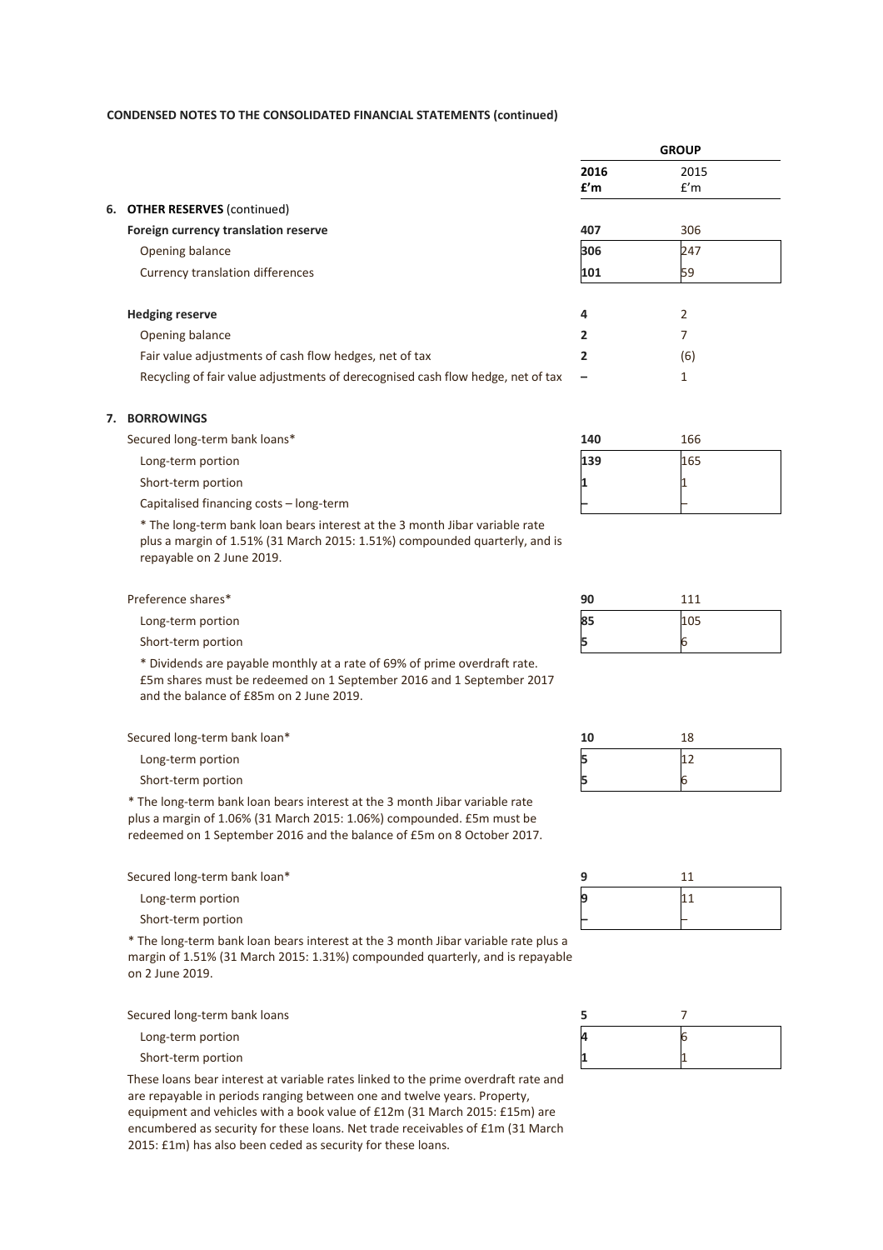|                                                                                 |                | <b>GROUP</b> |  |
|---------------------------------------------------------------------------------|----------------|--------------|--|
|                                                                                 | 2016           | 2015         |  |
|                                                                                 | f'm            | f'm          |  |
| 6. OTHER RESERVES (continued)                                                   |                |              |  |
| Foreign currency translation reserve                                            | 407            | 306          |  |
| Opening balance                                                                 | 306            | 247          |  |
| Currency translation differences                                                | 101            | 59           |  |
|                                                                                 |                |              |  |
| <b>Hedging reserve</b>                                                          | 4              | 2            |  |
| Opening balance                                                                 | $\overline{2}$ | 7            |  |
| Fair value adjustments of cash flow hedges, net of tax                          | $\overline{2}$ | (6)          |  |
| Recycling of fair value adjustments of derecognised cash flow hedge, net of tax |                | 1            |  |
|                                                                                 |                |              |  |
|                                                                                 |                |              |  |

### **7. BORROWINGS**

Secured long-term bank loans\* **140** 166

- Long-term portion **139** 165
- Short-term portion **1**

Capitalised financing costs – long-term **–** –

\* The long-term bank loan bears interest at the 3 month Jibar variable rate plus a margin of 1.51% (31 March 2015: 1.51%) compounded quarterly, and is repayable on 2 June 2019.

Preference shares\*

- Long-term portion
- Short-term portion

\* Dividends are payable monthly at a rate of 69% of prime overdraft rate. £5m shares must be redeemed on 1 September 2016 and 1 September 2017 and the balance of £85m on 2 June 2019.

Secured long-term bank loan\*

Long-term portion

Short-term portion

\* The long-term bank loan bears interest at the 3 month Jibar variable rate plus a margin of 1.06% (31 March 2015: 1.06%) compounded. £5m must be redeemed on 1 September 2016 and the balance of £5m on 8 October 2017.

Secured long-term bank loan\* **9** 11

Short-term portion

\* The long-term bank loan bears interest at the 3 month Jibar variable rate plus a margin of 1.51% (31 March 2015: 1.31%) compounded quarterly, and is repayable on 2 June 2019.

Secured long-term bank loans **5** 7

Short-term portion

These loans bear interest at variable rates linked to the prime overdraft rate and are repayable in periods ranging between one and twelve years. Property, equipment and vehicles with a book value of £12m (31 March 2015: £15m) are encumbered as security for these loans. Net trade receivables of £1m (31 March 2015: £1m) has also been ceded as security for these loans.

| Ю  | 111 |
|----|-----|
| 35 | 105 |

| 10 | 18 |
|----|----|
| 5  | 12 |
| כו | 6  |



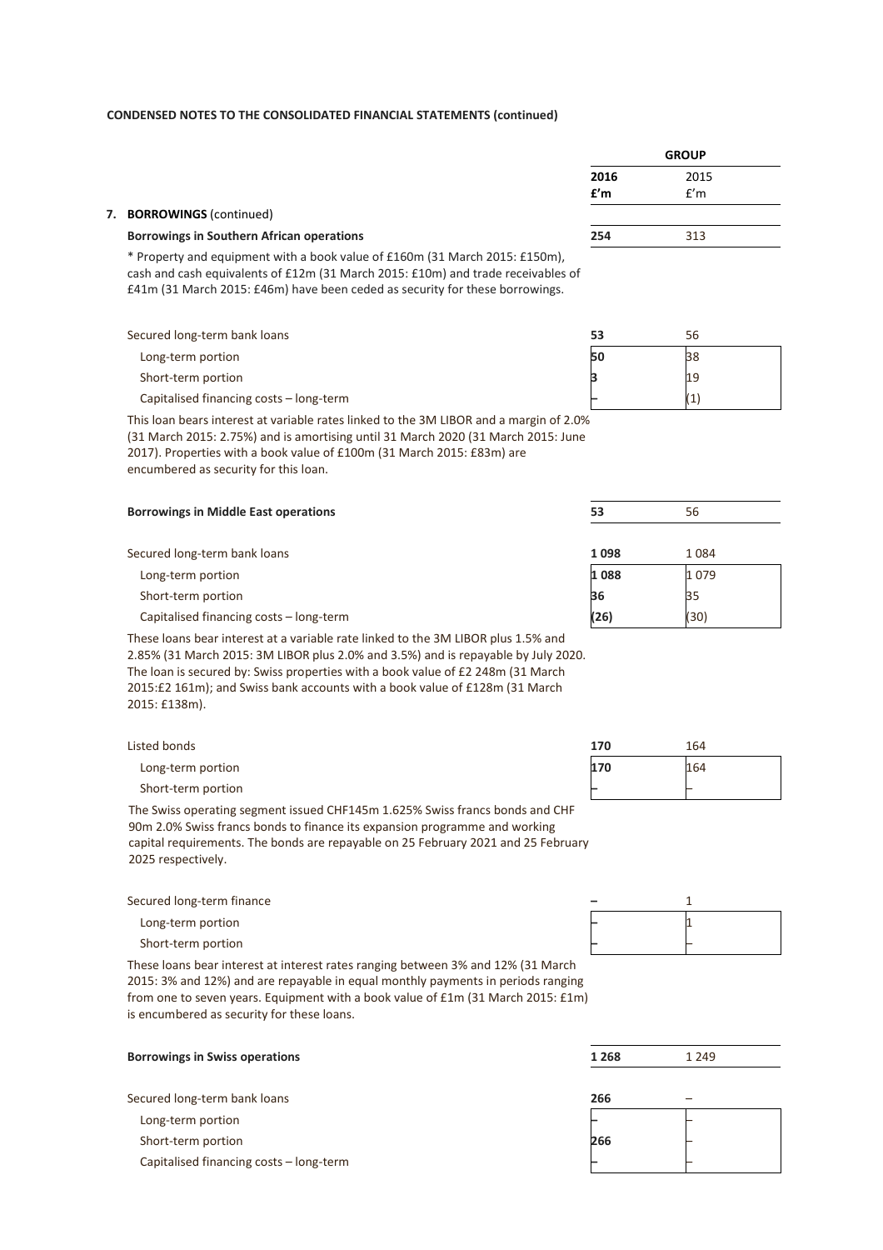|                                                  | <b>GROUP</b> |      |  |
|--------------------------------------------------|--------------|------|--|
|                                                  | 2016         | 2015 |  |
|                                                  | f'm          | f'm  |  |
|                                                  |              |      |  |
| <b>Borrowings in Southern African operations</b> | 254          | 313  |  |

\* Property and equipment with a book value of £160m (31 March 2015: £150m), cash and cash equivalents of £12m (31 March 2015: £10m) and trade receivables of £41m (31 March 2015: £46m) have been ceded as security for these borrowings.

Secured long-term bank loans

Long-term portion

Short-term portion

Capitalised financing costs – long-term

This loan bears interest at variable rates linked to the 3M LIBOR and a margin of 2.0% (31 March 2015: 2.75%) and is amortising until 31 March 2020 (31 March 2015: June 2017). Properties with a book value of £100m (31 March 2015: £83m) are encumbered as security for this loan.

| <b>Borrowings in Middle East operations</b> | 53   | 56   |  |
|---------------------------------------------|------|------|--|
| Secured long-term bank loans                | 1098 | 1084 |  |
| Long-term portion                           | 1088 | 1079 |  |
| Short-term portion                          | 36   | 35   |  |
| Capitalised financing costs - long-term     | (26) | (30) |  |

These loans bear interest at a variable rate linked to the 3M LIBOR plus 1.5% and 2.85% (31 March 2015: 3M LIBOR plus 2.0% and 3.5%) and is repayable by July 2020. The loan is secured by: Swiss properties with a book value of £2 248m (31 March 2015:£2 161m); and Swiss bank accounts with a book value of £128m (31 March 2015: £138m).

| Listed bonds       | 170 | 164 |
|--------------------|-----|-----|
| Long-term portion  | 170 | 164 |
| Short-term portion |     |     |

The Swiss operating segment issued CHF145m 1.625% Swiss francs bonds and CHF 90m 2.0% Swiss francs bonds to finance its expansion programme and working capital requirements. The bonds are repayable on 25 February 2021 and 25 February 2025 respectively.

Secured long-term finance **1** and 1 and 1 and 1 and 1 and 1 and 1 and 1 and 1 and 1 and 1 and 1 and 1 and 1 and 1 and 1 and 1 and 1 and 1 and 1 and 1 and 1 and 1 and 1 and 1 and 1 and 1 and 1 and 1 and 1 and 1 and 1 and 1

Short-term portion

These loans bear interest at interest rates ranging between 3% and 12% (31 March 2015: 3% and 12%) and are repayable in equal monthly payments in periods ranging from one to seven years. Equipment with a book value of £1m (31 March 2015: £1m) is encumbered as security for these loans.

| <b>Borrowings in Swiss operations</b>   | 1 2 6 8 | 1 2 4 9 |  |
|-----------------------------------------|---------|---------|--|
|                                         |         |         |  |
| Secured long-term bank loans            | 266     |         |  |
| Long-term portion                       |         |         |  |
| Short-term portion                      | 266     |         |  |
| Capitalised financing costs - long-term |         |         |  |

| 53 | 56  |  |
|----|-----|--|
| 50 | 38  |  |
| з  | 19  |  |
|    | (1) |  |

| 170 | 164 |
|-----|-----|
| 170 | 164 |
|     |     |

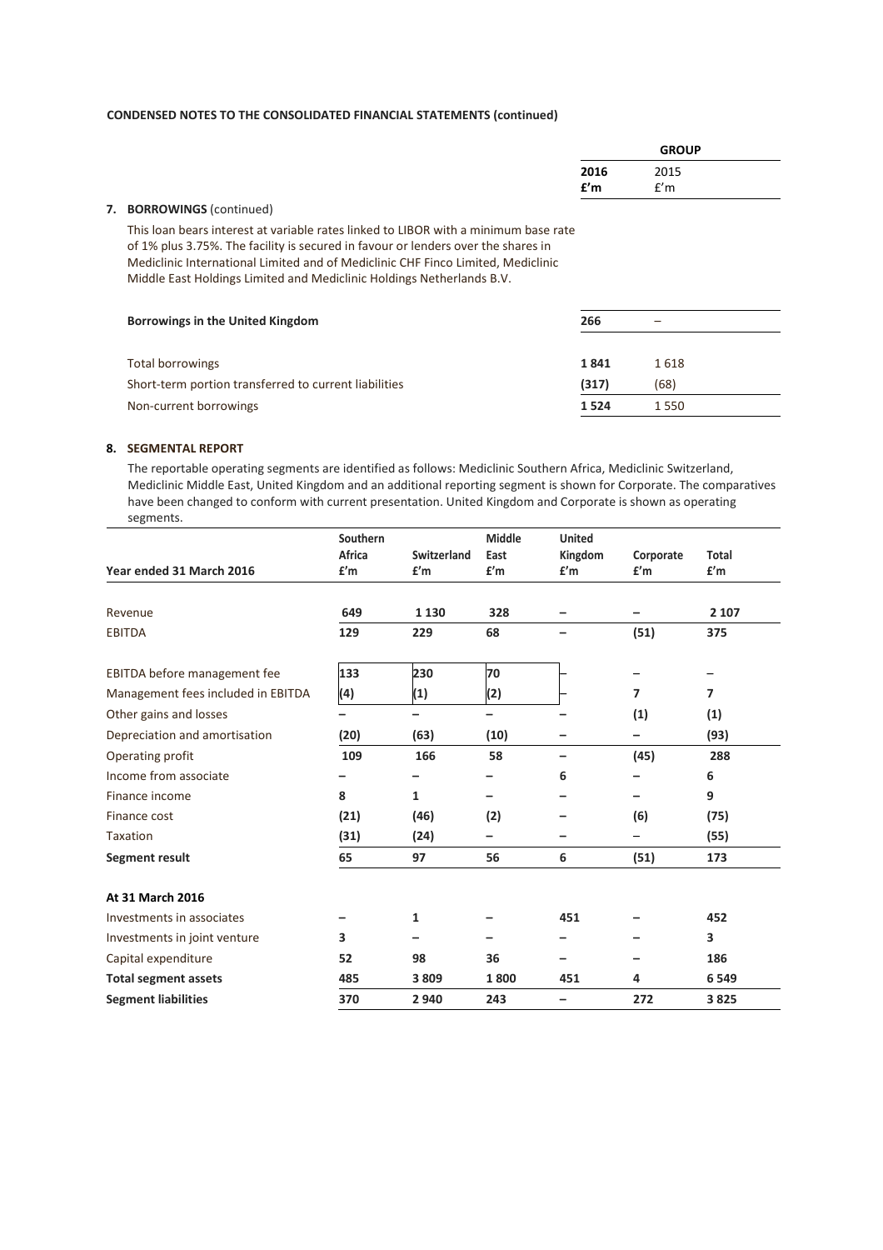|                                                                                                                                                                                                                                                                                                                                       |             | <b>GROUP</b> |  |
|---------------------------------------------------------------------------------------------------------------------------------------------------------------------------------------------------------------------------------------------------------------------------------------------------------------------------------------|-------------|--------------|--|
|                                                                                                                                                                                                                                                                                                                                       | 2016<br>f'm | 2015<br>f'm  |  |
| 7. BORROWINGS (continued)                                                                                                                                                                                                                                                                                                             |             |              |  |
| This loan bears interest at variable rates linked to LIBOR with a minimum base rate<br>of 1% plus 3.75%. The facility is secured in favour or lenders over the shares in<br>Mediclinic International Limited and of Mediclinic CHF Finco Limited, Mediclinic<br>Middle East Holdings Limited and Mediclinic Holdings Netherlands B.V. |             |              |  |
| Borrowings in the United Kingdom                                                                                                                                                                                                                                                                                                      | 266         |              |  |
|                                                                                                                                                                                                                                                                                                                                       |             |              |  |

| Total borrowings                                      | 1841    | 1.618   |
|-------------------------------------------------------|---------|---------|
| Short-term portion transferred to current liabilities | (317)   | (68)    |
| Non-current borrowings                                | 1 5 2 4 | 1 5 5 0 |
|                                                       |         |         |

## **8. SEGMENTAL REPORT**

The reportable operating segments are identified as follows: Mediclinic Southern Africa, Mediclinic Switzerland, Mediclinic Middle East, United Kingdom and an additional reporting segment is shown for Corporate. The comparatives have been changed to conform with current presentation. United Kingdom and Corporate is shown as operating segments.

|                                    | Southern<br>Africa | Switzerland | <b>Middle</b><br>East | <b>United</b>   |                  | Total          |
|------------------------------------|--------------------|-------------|-----------------------|-----------------|------------------|----------------|
| Year ended 31 March 2016           | f'm                | f'm         | f'm                   | Kingdom<br>f'm  | Corporate<br>f'm | f'm            |
|                                    |                    |             |                       |                 |                  |                |
| Revenue                            | 649                | 1 1 3 0     | 328                   |                 |                  | 2 107          |
| <b>EBITDA</b>                      | 129                | 229         | 68                    |                 | (51)             | 375            |
| EBITDA before management fee       | 133                | 230         | 70                    |                 |                  |                |
| Management fees included in EBITDA | (4)                | (1)         | (2)                   |                 | 7                | $\overline{ }$ |
| Other gains and losses             | -                  | -           | -                     |                 | (1)              | (1)            |
| Depreciation and amortisation      | (20)               | (63)        | (10)                  |                 |                  | (93)           |
| Operating profit                   | 109                | 166         | 58                    | $\qquad \qquad$ | (45)             | 288            |
| Income from associate              |                    |             |                       | 6               |                  | 6              |
| Finance income                     | 8                  | 1           |                       |                 |                  | 9              |
| Finance cost                       | (21)               | (46)        | (2)                   |                 | (6)              | (75)           |
| <b>Taxation</b>                    | (31)               | (24)        | -                     |                 |                  | (55)           |
| Segment result                     | 65                 | 97          | 56                    | 6               | (51)             | 173            |
| At 31 March 2016                   |                    |             |                       |                 |                  |                |
| Investments in associates          |                    | 1           |                       | 451             |                  | 452            |
| Investments in joint venture       | 3                  |             |                       |                 |                  | 3              |
| Capital expenditure                | 52                 | 98          | 36                    |                 |                  | 186            |
| <b>Total segment assets</b>        | 485                | 3809        | 1800                  | 451             | 4                | 6 5 4 9        |
| <b>Segment liabilities</b>         | 370                | 2 9 4 0     | 243                   |                 | 272              | 3825           |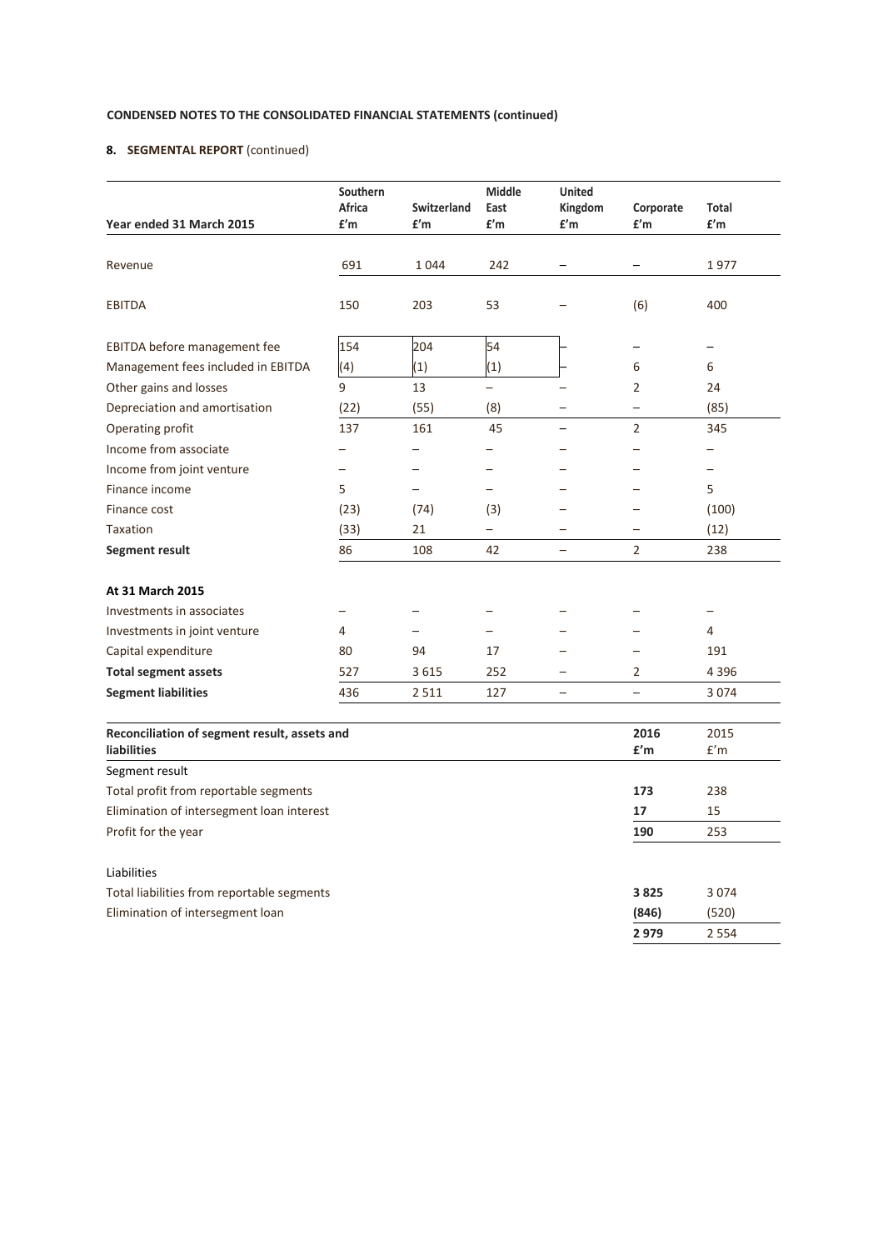## **8. SEGMENTAL REPORT** (continued)

| Year ended 31 March 2015                                           | Southern<br><b>Africa</b><br>f'm | Switzerland<br>£'m | Middle<br>East<br>f'm | <b>United</b><br>Kingdom<br>£'m | Corporate<br>f'm         | <b>Total</b><br>£'m             |
|--------------------------------------------------------------------|----------------------------------|--------------------|-----------------------|---------------------------------|--------------------------|---------------------------------|
|                                                                    |                                  |                    |                       |                                 |                          |                                 |
| Revenue                                                            | 691                              | 1044               | 242                   |                                 |                          | 1977                            |
| <b>EBITDA</b>                                                      | 150                              | 203                | 53                    |                                 | (6)                      | 400                             |
| EBITDA before management fee                                       | 154                              | 204                | 54                    |                                 |                          |                                 |
| Management fees included in EBITDA                                 | (4)                              | (1)                | (1)                   |                                 | 6                        | 6                               |
| Other gains and losses                                             | 9                                | 13                 | $\equiv$              |                                 | 2                        | 24                              |
| Depreciation and amortisation                                      | (22)                             | (55)               | (8)                   |                                 | $\overline{\phantom{0}}$ | (85)                            |
| Operating profit                                                   | 137                              | 161                | 45                    |                                 | $\overline{2}$           | 345                             |
| Income from associate                                              | -                                |                    |                       |                                 |                          |                                 |
| Income from joint venture                                          |                                  |                    |                       |                                 |                          |                                 |
| Finance income                                                     | 5                                |                    |                       |                                 |                          | 5                               |
| Finance cost                                                       | (23)                             | (74)               | (3)                   |                                 |                          | (100)                           |
| <b>Taxation</b>                                                    | (33)                             | 21                 | $\qquad \qquad -$     |                                 |                          | (12)                            |
| Segment result                                                     | 86                               | 108                | 42                    | $\overline{\phantom{0}}$        | 2                        | 238                             |
| At 31 March 2015                                                   |                                  |                    |                       |                                 |                          |                                 |
| Investments in associates                                          |                                  |                    |                       |                                 |                          | -                               |
| Investments in joint venture                                       | 4                                |                    |                       |                                 |                          | 4                               |
| Capital expenditure                                                | 80                               | 94                 | 17                    |                                 |                          | 191                             |
| <b>Total segment assets</b>                                        | 527                              | 3615               | 252                   | $\overline{\phantom{0}}$        | 2                        | 4 3 9 6                         |
| <b>Segment liabilities</b>                                         | 436                              | 2 5 1 1            | 127                   | -                               | $\qquad \qquad -$        | 3 0 7 4                         |
| Reconciliation of segment result, assets and<br><b>liabilities</b> |                                  |                    |                       |                                 | 2016<br>f'm              | 2015<br>$\mathsf{f}'\mathsf{m}$ |
| Segment result                                                     |                                  |                    |                       |                                 |                          |                                 |
| Total profit from reportable segments                              |                                  |                    |                       |                                 | 173                      | 238                             |
| Elimination of intersegment loan interest                          |                                  |                    |                       |                                 | 17                       | 15                              |
| Profit for the year                                                |                                  |                    |                       |                                 | 190                      | 253                             |
| Liabilities                                                        |                                  |                    |                       |                                 |                          |                                 |
| Total liabilities from reportable segments                         |                                  |                    |                       |                                 | 3825                     | 3074                            |
| Elimination of intersegment loan                                   |                                  |                    |                       |                                 | (846)                    | (520)                           |
|                                                                    |                                  |                    |                       |                                 | 2979                     | 2 5 5 4                         |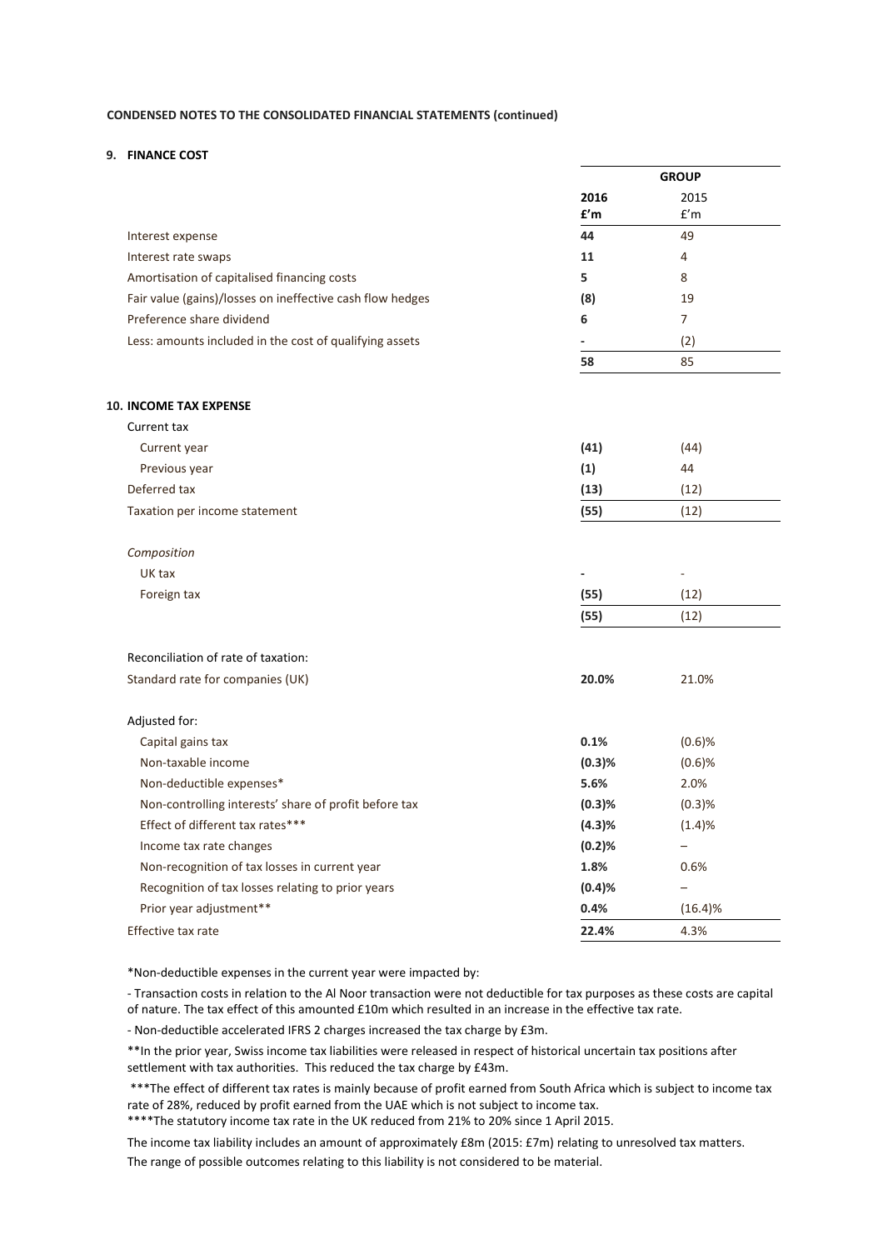### **9. FINANCE COST**

|                                                           |             | <b>GROUP</b> |  |
|-----------------------------------------------------------|-------------|--------------|--|
|                                                           | 2016<br>£'m | 2015<br>f'm  |  |
| Interest expense                                          | 44          | 49           |  |
| Interest rate swaps                                       | 11          | 4            |  |
| Amortisation of capitalised financing costs               | 5           | 8            |  |
| Fair value (gains)/losses on ineffective cash flow hedges | (8)         | 19           |  |
| Preference share dividend                                 | 6           | 7            |  |
| Less: amounts included in the cost of qualifying assets   |             | (2)          |  |
|                                                           | 58          | 85           |  |
| <b>10. INCOME TAX EXPENSE</b>                             |             |              |  |
| Current tax                                               |             |              |  |
| Current year                                              | (41)        | (44)         |  |
| Previous year                                             | (1)         | 44           |  |
| Deferred tax                                              | (13)        | (12)         |  |
| Taxation per income statement                             | (55)        | (12)         |  |

| Composition |                          |                          |
|-------------|--------------------------|--------------------------|
| UK tax      | $\overline{\phantom{a}}$ | $\overline{\phantom{a}}$ |
| Foreign tax | (55)                     | (12)                     |
|             | (55)                     | (12)                     |

Reconciliation of rate of taxation: Standard rate for companies (UK) **20.0%** 21.0%

| <u>Standard rate for companies rom-</u>               | ----   | $-1.000$                 |  |
|-------------------------------------------------------|--------|--------------------------|--|
| Adjusted for:                                         |        |                          |  |
| Capital gains tax                                     | 0.1%   | $(0.6)$ %                |  |
| Non-taxable income                                    | (0.3)% | $(0.6)$ %                |  |
| Non-deductible expenses*                              | 5.6%   | 2.0%                     |  |
| Non-controlling interests' share of profit before tax | (0.3)% | $(0.3)$ %                |  |
| Effect of different tax rates***                      | (4.3)% | (1.4)%                   |  |
| Income tax rate changes                               | (0.2)% |                          |  |
| Non-recognition of tax losses in current year         | 1.8%   | 0.6%                     |  |
| Recognition of tax losses relating to prior years     | (0.4)% | $\overline{\phantom{m}}$ |  |
| Prior year adjustment**                               | 0.4%   | (16.4)%                  |  |
| Effective tax rate                                    | 22.4%  | 4.3%                     |  |

\*Non-deductible expenses in the current year were impacted by:

- Transaction costs in relation to the Al Noor transaction were not deductible for tax purposes as these costs are capital of nature. The tax effect of this amounted £10m which resulted in an increase in the effective tax rate.

- Non-deductible accelerated IFRS 2 charges increased the tax charge by £3m.

\*\*In the prior year, Swiss income tax liabilities were released in respect of historical uncertain tax positions after settlement with tax authorities. This reduced the tax charge by £43m.

\*\*\*The effect of different tax rates is mainly because of profit earned from South Africa which is subject to income tax rate of 28%, reduced by profit earned from the UAE which is not subject to income tax.

\*\*\*\*The statutory income tax rate in the UK reduced from 21% to 20% since 1 April 2015.

The income tax liability includes an amount of approximately £8m (2015: £7m) relating to unresolved tax matters. The range of possible outcomes relating to this liability is not considered to be material.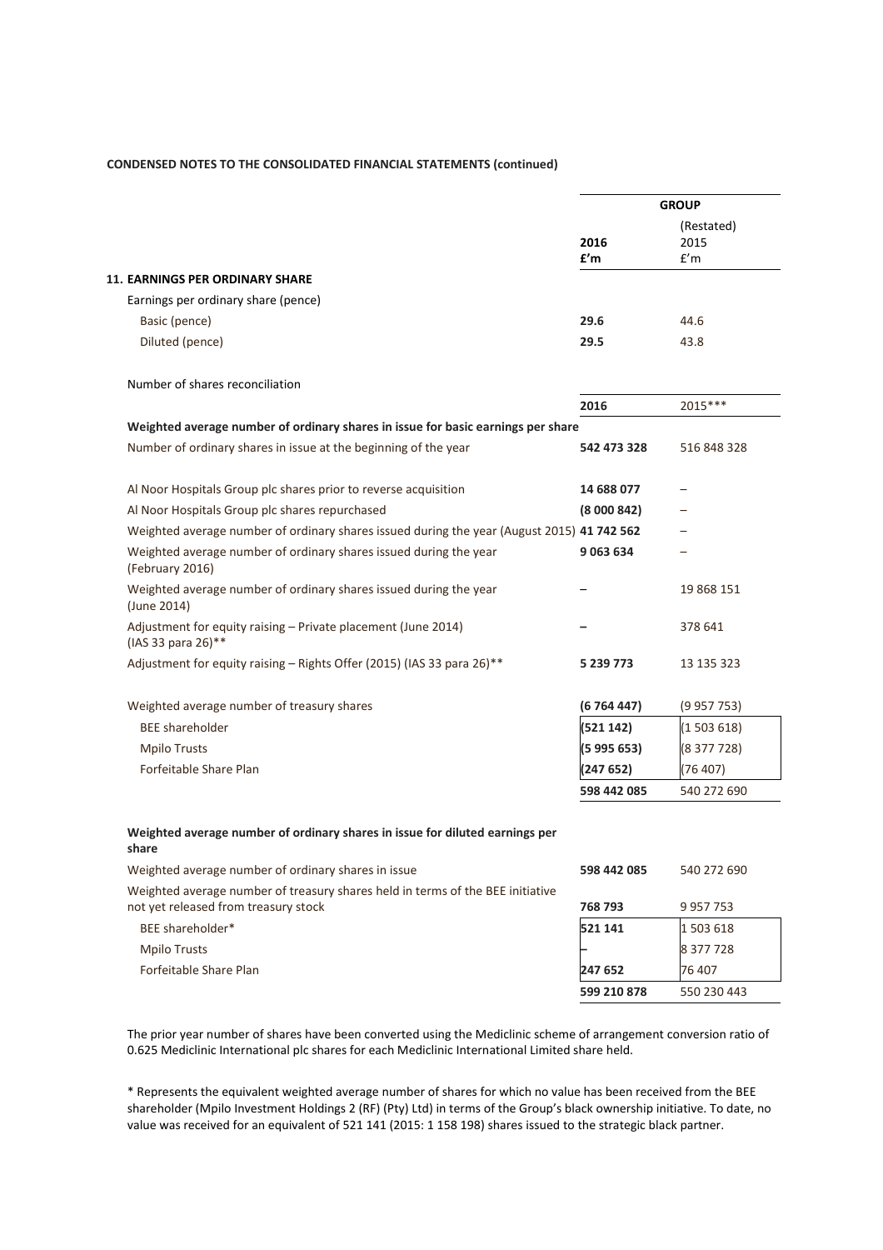|                                                                                                                        |             | <b>GROUP</b>              |
|------------------------------------------------------------------------------------------------------------------------|-------------|---------------------------|
|                                                                                                                        | 2016<br>f'm | (Restated)<br>2015<br>f'm |
| 11. EARNINGS PER ORDINARY SHARE                                                                                        |             |                           |
| Earnings per ordinary share (pence)                                                                                    |             |                           |
| Basic (pence)                                                                                                          | 29.6        | 44.6                      |
| Diluted (pence)                                                                                                        | 29.5        | 43.8                      |
| Number of shares reconciliation                                                                                        |             |                           |
|                                                                                                                        | 2016        | 2015***                   |
| Weighted average number of ordinary shares in issue for basic earnings per share                                       |             |                           |
| Number of ordinary shares in issue at the beginning of the year                                                        | 542 473 328 | 516 848 328               |
| Al Noor Hospitals Group plc shares prior to reverse acquisition                                                        | 14 688 077  |                           |
| Al Noor Hospitals Group plc shares repurchased                                                                         | (8000842)   |                           |
| Weighted average number of ordinary shares issued during the year (August 2015) 41 742 562                             |             |                           |
| Weighted average number of ordinary shares issued during the year<br>(February 2016)                                   | 9 0 63 6 34 |                           |
| Weighted average number of ordinary shares issued during the year<br>(June 2014)                                       |             | 19 868 151                |
| Adjustment for equity raising - Private placement (June 2014)<br>(IAS 33 para 26)**                                    |             | 378 641                   |
| Adjustment for equity raising - Rights Offer (2015) (IAS 33 para 26)**                                                 | 5 239 773   | 13 135 323                |
| Weighted average number of treasury shares                                                                             | (6764447)   | (9957753)                 |
| <b>BEE</b> shareholder                                                                                                 | (521142)    | (1503618)                 |
| <b>Mpilo Trusts</b>                                                                                                    | (5 995 653) | (8 377 728)               |
| Forfeitable Share Plan                                                                                                 | (247 652)   | (76 407)                  |
|                                                                                                                        | 598 442 085 | 540 272 690               |
| Weighted average number of ordinary shares in issue for diluted earnings per<br>share                                  |             |                           |
| Weighted average number of ordinary shares in issue                                                                    | 598 442 085 | 540 272 690               |
| Weighted average number of treasury shares held in terms of the BEE initiative<br>not yet released from treasury stock | 768 793     | 9 957 753                 |
| BEE shareholder*                                                                                                       | 521 141     | 1503618                   |
| <b>Mpilo Trusts</b>                                                                                                    |             | 8 377 728                 |
| Forfeitable Share Plan                                                                                                 | 247 652     | 76 407                    |
|                                                                                                                        | 599 210 878 | 550 230 443               |
|                                                                                                                        |             |                           |

The prior year number of shares have been converted using the Mediclinic scheme of arrangement conversion ratio of 0.625 Mediclinic International plc shares for each Mediclinic International Limited share held.

\* Represents the equivalent weighted average number of shares for which no value has been received from the BEE shareholder (Mpilo Investment Holdings 2 (RF) (Pty) Ltd) in terms of the Group's black ownership initiative. To date, no value was received for an equivalent of 521 141 (2015: 1 158 198) shares issued to the strategic black partner.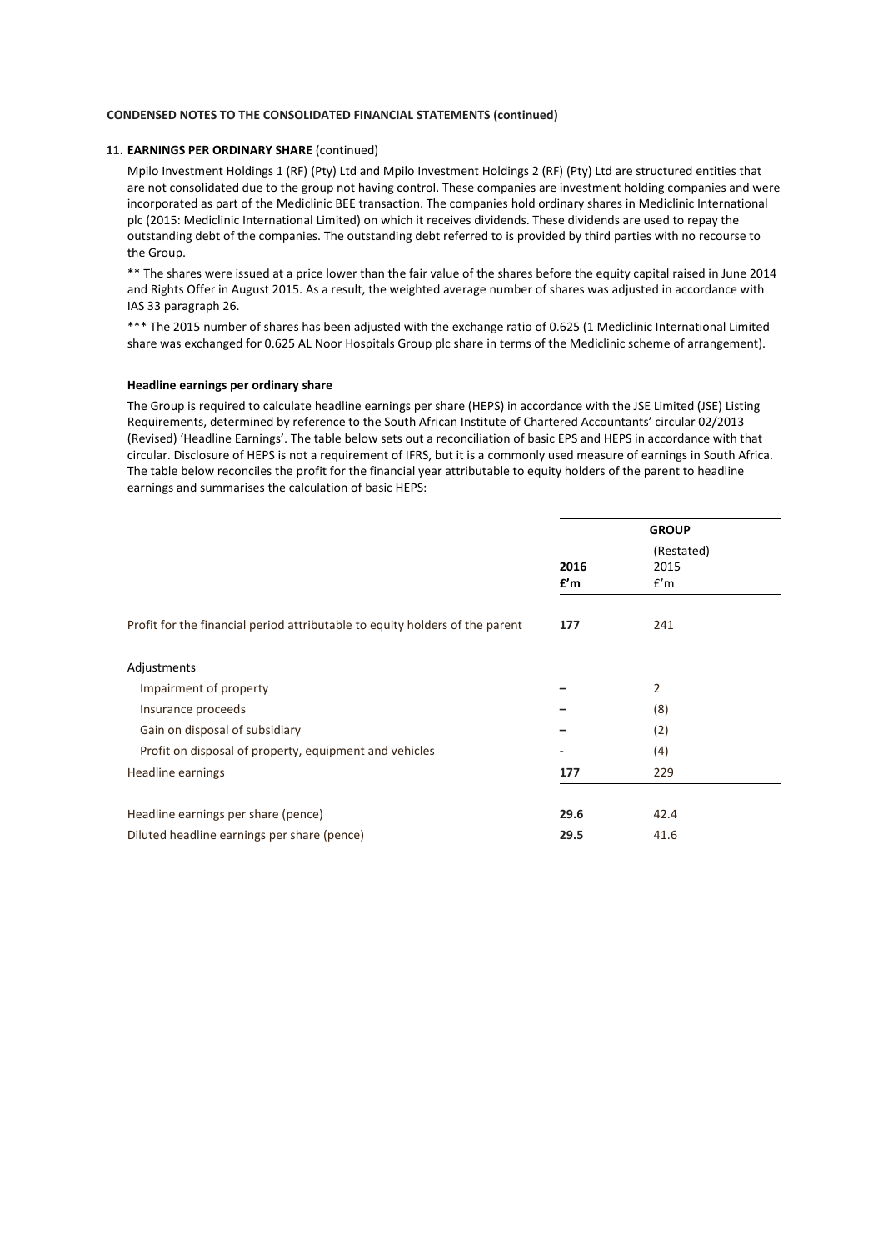### **11. EARNINGS PER ORDINARY SHARE** (continued)

Mpilo Investment Holdings 1 (RF) (Pty) Ltd and Mpilo Investment Holdings 2 (RF) (Pty) Ltd are structured entities that are not consolidated due to the group not having control. These companies are investment holding companies and were incorporated as part of the Mediclinic BEE transaction. The companies hold ordinary shares in Mediclinic International plc (2015: Mediclinic International Limited) on which it receives dividends. These dividends are used to repay the outstanding debt of the companies. The outstanding debt referred to is provided by third parties with no recourse to the Group.

\*\* The shares were issued at a price lower than the fair value of the shares before the equity capital raised in June 2014 and Rights Offer in August 2015. As a result, the weighted average number of shares was adjusted in accordance with IAS 33 paragraph 26.

\*\*\* The 2015 number of shares has been adjusted with the exchange ratio of 0.625 (1 Mediclinic International Limited share was exchanged for 0.625 AL Noor Hospitals Group plc share in terms of the Mediclinic scheme of arrangement).

### **Headline earnings per ordinary share**

The Group is required to calculate headline earnings per share (HEPS) in accordance with the JSE Limited (JSE) Listing Requirements, determined by reference to the South African Institute of Chartered Accountants' circular 02/2013 (Revised) 'Headline Earnings'. The table below sets out a reconciliation of basic EPS and HEPS in accordance with that circular. Disclosure of HEPS is not a requirement of IFRS, but it is a commonly used measure of earnings in South Africa. The table below reconciles the profit for the financial year attributable to equity holders of the parent to headline earnings and summarises the calculation of basic HEPS:

|                                                                              | <b>GROUP</b> |                |  |
|------------------------------------------------------------------------------|--------------|----------------|--|
|                                                                              |              | (Restated)     |  |
|                                                                              | 2016         | 2015           |  |
|                                                                              | £'m          | f'm            |  |
| Profit for the financial period attributable to equity holders of the parent | 177          | 241            |  |
| Adjustments                                                                  |              |                |  |
| Impairment of property                                                       |              | $\overline{2}$ |  |
| Insurance proceeds                                                           |              | (8)            |  |
| Gain on disposal of subsidiary                                               |              | (2)            |  |
| Profit on disposal of property, equipment and vehicles                       |              | (4)            |  |
| Headline earnings                                                            | 177          | 229            |  |
| Headline earnings per share (pence)                                          | 29.6         | 42.4           |  |
| Diluted headline earnings per share (pence)                                  | 29.5         | 41.6           |  |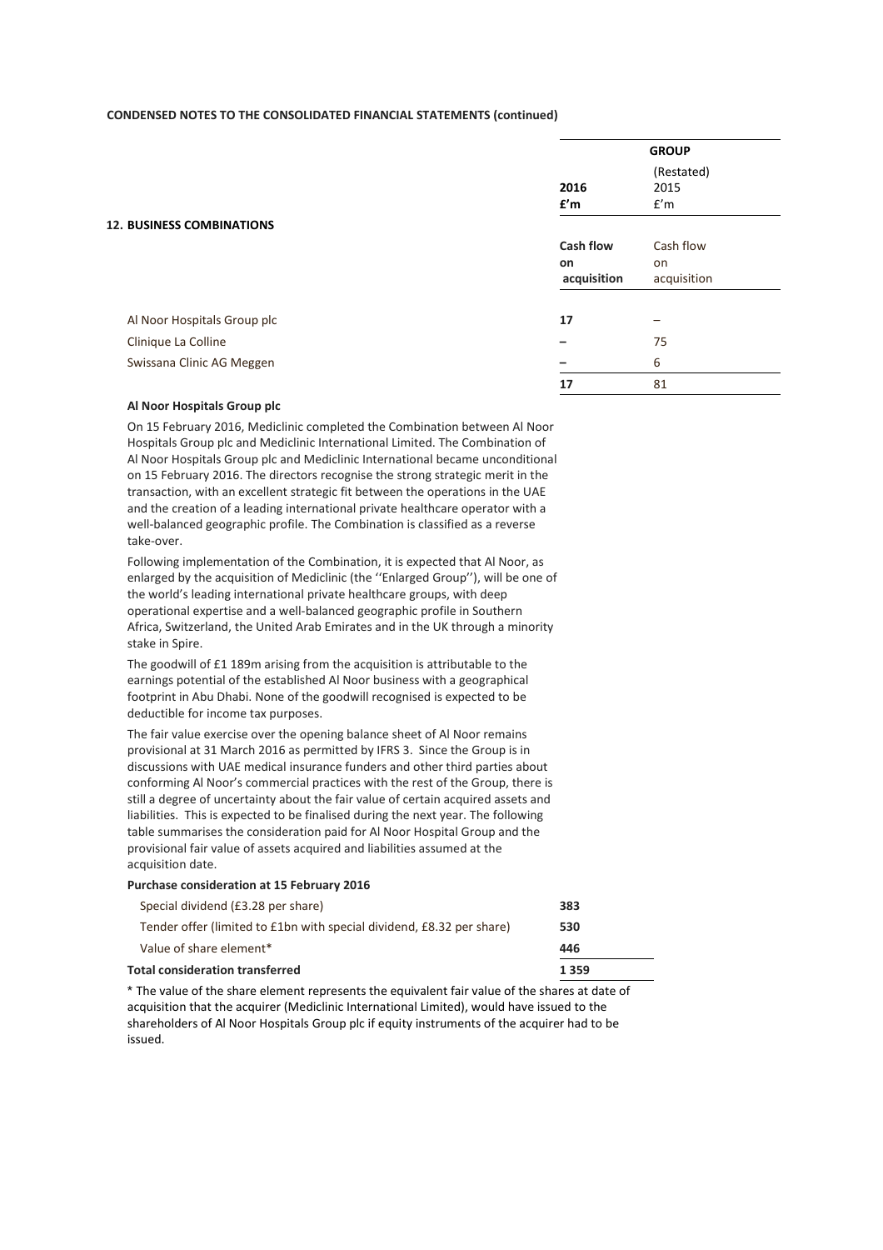|                                  |                  | <b>GROUP</b>              |
|----------------------------------|------------------|---------------------------|
|                                  | 2016<br>£'m      | (Restated)<br>2015<br>f'm |
| <b>12. BUSINESS COMBINATIONS</b> |                  |                           |
|                                  | <b>Cash flow</b> | Cash flow                 |
|                                  | <b>on</b>        | on                        |
|                                  | acquisition      | acquisition               |
| Al Noor Hospitals Group plc      | 17               |                           |
| Clinique La Colline              | -                | 75                        |
| Swissana Clinic AG Meggen        |                  | 6                         |
|                                  | 17               | 81                        |

### **Al Noor Hospitals Group plc**

On 15 February 2016, Mediclinic completed the Combination between Al Noor Hospitals Group plc and Mediclinic International Limited. The Combination of Al Noor Hospitals Group plc and Mediclinic International became unconditional on 15 February 2016. The directors recognise the strong strategic merit in the transaction, with an excellent strategic fit between the operations in the UAE and the creation of a leading international private healthcare operator with a well-balanced geographic profile. The Combination is classified as a reverse take-over.

Following implementation of the Combination, it is expected that Al Noor, as enlarged by the acquisition of Mediclinic (the ''Enlarged Group''), will be one of the world's leading international private healthcare groups, with deep operational expertise and a well-balanced geographic profile in Southern Africa, Switzerland, the United Arab Emirates and in the UK through a minority stake in Spire.

The goodwill of £1 189m arising from the acquisition is attributable to the earnings potential of the established Al Noor business with a geographical footprint in Abu Dhabi. None of the goodwill recognised is expected to be deductible for income tax purposes.

The fair value exercise over the opening balance sheet of Al Noor remains provisional at 31 March 2016 as permitted by IFRS 3. Since the Group is in discussions with UAE medical insurance funders and other third parties about conforming Al Noor's commercial practices with the rest of the Group, there is still a degree of uncertainty about the fair value of certain acquired assets and liabilities. This is expected to be finalised during the next year. The following table summarises the consideration paid for Al Noor Hospital Group and the provisional fair value of assets acquired and liabilities assumed at the acquisition date.

### **Purchase consideration at 15 February 2016**

| <b>Total consideration transferred</b>                                | 1359 |
|-----------------------------------------------------------------------|------|
| Value of share element*                                               | 446  |
| Tender offer (limited to £1bn with special dividend, £8.32 per share) | 530  |
| Special dividend (£3.28 per share)                                    | 383  |

\* The value of the share element represents the equivalent fair value of the shares at date of acquisition that the acquirer (Mediclinic International Limited), would have issued to the shareholders of Al Noor Hospitals Group plc if equity instruments of the acquirer had to be issued.